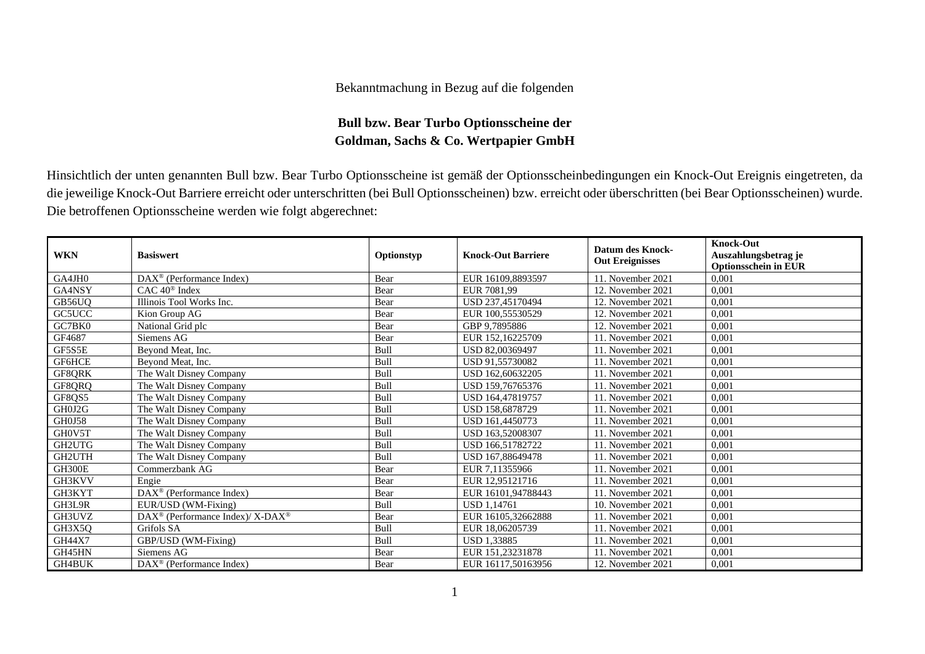## Bekanntmachung in Bezug auf die folgenden

## **Bull bzw. Bear Turbo Optionsscheine der Goldman, Sachs & Co. Wertpapier GmbH**

Hinsichtlich der unten genannten Bull bzw. Bear Turbo Optionsscheine ist gemäß der Optionsscheinbedingungen ein Knock-Out Ereignis eingetreten, da die jeweilige Knock-Out Barriere erreicht oder unterschritten (bei Bull Optionsscheinen) bzw. erreicht oder überschritten (bei Bear Optionsscheinen) wurde. Die betroffenen Optionsscheine werden wie folgt abgerechnet:

| <b>WKN</b>    | <b>Basiswert</b>                                        | Optionstyp | <b>Knock-Out Barriere</b> | <b>Datum des Knock-</b><br><b>Out Ereignisses</b> | <b>Knock-Out</b><br>Auszahlungsbetrag je |
|---------------|---------------------------------------------------------|------------|---------------------------|---------------------------------------------------|------------------------------------------|
|               |                                                         |            |                           |                                                   | <b>Optionsschein in EUR</b>              |
| GA4JH0        | DAX <sup>®</sup> (Performance Index)                    | Bear       | EUR 16109.8893597         | 11. November 2021                                 | 0,001                                    |
| GA4NSY        | $CAC 40$ <sup>®</sup> Index                             | Bear       | EUR 7081.99               | 12. November 2021                                 | 0,001                                    |
| GB56UO        | Illinois Tool Works Inc.                                | Bear       | USD 237,45170494          | 12. November 2021                                 | 0.001                                    |
| GC5UCC        | Kion Group AG                                           | Bear       | EUR 100.55530529          | 12. November 2021                                 | 0,001                                    |
| GC7BK0        | National Grid plc                                       | Bear       | GBP 9,7895886             | 12. November 2021                                 | 0,001                                    |
| GF4687        | Siemens AG                                              | Bear       | EUR 152,16225709          | 11. November 2021                                 | 0.001                                    |
| GF5S5E        | Beyond Meat, Inc.                                       | Bull       | USD 82,00369497           | 11. November 2021                                 | 0,001                                    |
| GF6HCE        | Beyond Meat, Inc.                                       | Bull       | USD 91,55730082           | 11. November 2021                                 | 0,001                                    |
| GF8QRK        | The Walt Disney Company                                 | Bull       | USD 162,60632205          | 11. November 2021                                 | 0,001                                    |
| GF8QRQ        | The Walt Disney Company                                 | Bull       | USD 159,76765376          | 11. November 2021                                 | 0,001                                    |
| GF8QS5        | The Walt Disney Company                                 | Bull       | USD 164,47819757          | 11. November 2021                                 | 0,001                                    |
| GH0J2G        | The Walt Disney Company                                 | Bull       | USD 158,6878729           | 11. November 2021                                 | 0,001                                    |
| <b>GH0J58</b> | The Walt Disney Company                                 | Bull       | USD 161,4450773           | 11. November 2021                                 | 0,001                                    |
| GH0V5T        | The Walt Disney Company                                 | Bull       | USD 163,52008307          | 11. November 2021                                 | 0,001                                    |
| GH2UTG        | The Walt Disney Company                                 | Bull       | USD 166,51782722          | 11. November 2021                                 | 0.001                                    |
| GH2UTH        | The Walt Disney Company                                 | Bull       | USD 167,88649478          | 11. November 2021                                 | 0,001                                    |
| GH300E        | Commerzbank AG                                          | Bear       | EUR 7,11355966            | 11. November 2021                                 | 0,001                                    |
| GH3KVV        | Engie                                                   | Bear       | EUR 12.95121716           | 11. November 2021                                 | 0.001                                    |
| GH3KYT        | DAX <sup>®</sup> (Performance Index)                    | Bear       | EUR 16101,94788443        | 11. November 2021                                 | 0,001                                    |
| GH3L9R        | EUR/USD (WM-Fixing)                                     | Bull       | <b>USD 1,14761</b>        | 10. November 2021                                 | 0,001                                    |
| GH3UVZ        | DAX <sup>®</sup> (Performance Index)/X-DAX <sup>®</sup> | Bear       | EUR 16105,32662888        | 11. November 2021                                 | 0.001                                    |
| GH3X5Q        | Grifols SA                                              | Bull       | EUR 18,06205739           | 11. November 2021                                 | 0,001                                    |
| <b>GH44X7</b> | GBP/USD (WM-Fixing)                                     | Bull       | USD 1,33885               | 11. November 2021                                 | 0,001                                    |
| GH45HN        | Siemens AG                                              | Bear       | EUR 151,23231878          | 11. November 2021                                 | 0,001                                    |
| <b>GH4BUK</b> | $DAX^{\circledcirc}$ (Performance Index)                | Bear       | EUR 16117,50163956        | 12. November 2021                                 | 0,001                                    |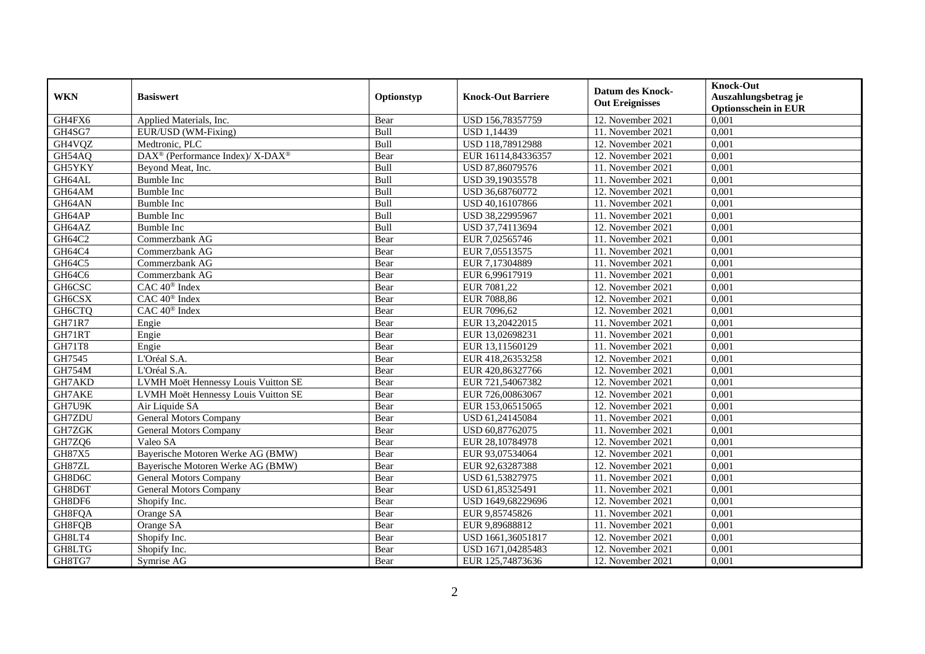| <b>WKN</b>          | <b>Basiswert</b>                                         | Optionstyp | <b>Knock-Out Barriere</b> | <b>Datum des Knock-</b><br><b>Out Ereignisses</b> | <b>Knock-Out</b><br>Auszahlungsbetrag je<br><b>Optionsschein in EUR</b> |
|---------------------|----------------------------------------------------------|------------|---------------------------|---------------------------------------------------|-------------------------------------------------------------------------|
| GH4FX6              | Applied Materials, Inc.                                  | Bear       | USD 156,78357759          | 12. November 2021                                 | 0,001                                                                   |
| GH4SG7              | EUR/USD (WM-Fixing)                                      | Bull       | <b>USD 1,14439</b>        | 11. November 2021                                 | 0,001                                                                   |
| GH <sub>4</sub> VQZ | Medtronic, PLC                                           | Bull       | USD 118,78912988          | 12. November 2021                                 | 0,001                                                                   |
| GH54AQ              | DAX <sup>®</sup> (Performance Index)/ X-DAX <sup>®</sup> | Bear       | EUR 16114,84336357        | 12. November 2021                                 | 0,001                                                                   |
| GH5YKY              | Beyond Meat, Inc.                                        | Bull       | USD 87,86079576           | 11. November 2021                                 | 0,001                                                                   |
| GH64AL              | <b>Bumble Inc</b>                                        | Bull       | USD 39,19035578           | 11. November 2021                                 | 0,001                                                                   |
| GH64AM              | <b>Bumble Inc</b>                                        | Bull       | USD 36,68760772           | 12. November 2021                                 | 0.001                                                                   |
| GH64AN              | Bumble Inc                                               | Bull       | USD 40,16107866           | 11. November 2021                                 | 0,001                                                                   |
| GH64AP              | Bumble Inc                                               | Bull       | USD 38,22995967           | 11. November 2021                                 | 0,001                                                                   |
| GH64AZ              | Bumble Inc                                               | Bull       | USD 37,74113694           | 12. November 2021                                 | 0,001                                                                   |
| GH64C2              | Commerzbank AG                                           | Bear       | EUR 7,02565746            | 11. November 2021                                 | 0,001                                                                   |
| GH64C4              | Commerzbank AG                                           | Bear       | EUR 7,05513575            | 11. November 2021                                 | 0,001                                                                   |
| GH64C5              | Commerzbank AG                                           | Bear       | EUR 7,17304889            | 11. November 2021                                 | 0,001                                                                   |
| GH64C6              | Commerzbank AG                                           | Bear       | EUR 6.99617919            | 11. November 2021                                 | 0.001                                                                   |
| GH6CSC              | CAC 40 <sup>®</sup> Index                                | Bear       | EUR 7081,22               | 12. November 2021                                 | 0,001                                                                   |
| GH <sub>6</sub> CSX | $CAC 40$ <sup>®</sup> Index                              | Bear       | EUR 7088,86               | 12. November 2021                                 | 0,001                                                                   |
| GH6CTQ              | CAC 40 <sup>®</sup> Index                                | Bear       | EUR 7096,62               | 12. November 2021                                 | 0,001                                                                   |
| <b>GH71R7</b>       | Engie                                                    | Bear       | EUR 13,20422015           | 11. November 2021                                 | 0,001                                                                   |
| GH71RT              | Engie                                                    | Bear       | EUR 13,02698231           | 11. November 2021                                 | 0,001                                                                   |
| GH71T8              | Engie                                                    | Bear       | EUR 13,11560129           | 11. November 2021                                 | 0,001                                                                   |
| GH7545              | L'Oréal S.A.                                             | Bear       | EUR 418,26353258          | 12. November 2021                                 | 0,001                                                                   |
| <b>GH754M</b>       | L'Oréal S.A.                                             | Bear       | EUR 420,86327766          | 12. November 2021                                 | 0,001                                                                   |
| GH7AKD              | LVMH Moët Hennessy Louis Vuitton SE                      | Bear       | EUR 721,54067382          | 12. November 2021                                 | 0,001                                                                   |
| GH7AKE              | LVMH Moët Hennessy Louis Vuitton SE                      | Bear       | EUR 726,00863067          | 12. November 2021                                 | 0,001                                                                   |
| GH7U9K              | Air Liquide SA                                           | Bear       | EUR 153,06515065          | 12. November 2021                                 | 0,001                                                                   |
| GH7ZDU              | General Motors Company                                   | Bear       | USD 61,24145084           | 11. November 2021                                 | 0,001                                                                   |
| GH7ZGK              | General Motors Company                                   | Bear       | USD 60,87762075           | 11. November 2021                                 | 0,001                                                                   |
| GH7ZQ6              | Valeo SA                                                 | Bear       | EUR 28,10784978           | 12. November 2021                                 | 0,001                                                                   |
| GH87X5              | Bayerische Motoren Werke AG (BMW)                        | Bear       | EUR 93,07534064           | 12. November 2021                                 | 0,001                                                                   |
| GH87ZL              | Bayerische Motoren Werke AG (BMW)                        | Bear       | EUR 92,63287388           | 12. November 2021                                 | 0,001                                                                   |
| GH8D6C              | <b>General Motors Company</b>                            | Bear       | USD 61,53827975           | 11. November 2021                                 | 0,001                                                                   |
| GH8D6T              | <b>General Motors Company</b>                            | Bear       | USD 61,85325491           | 11. November 2021                                 | 0,001                                                                   |
| GH8DF6              | Shopify Inc.                                             | Bear       | USD 1649,68229696         | 12. November 2021                                 | 0,001                                                                   |
| GH8FQA              | Orange SA                                                | Bear       | EUR 9,85745826            | 11. November 2021                                 | 0.001                                                                   |
| GH8FQB              | Orange SA                                                | Bear       | EUR 9,89688812            | 11. November 2021                                 | 0,001                                                                   |
| GH8LT4              | Shopify Inc.                                             | Bear       | USD 1661,36051817         | 12. November 2021                                 | 0,001                                                                   |
| GH8LTG              | Shopify Inc.                                             | Bear       | USD 1671,04285483         | 12. November 2021                                 | 0,001                                                                   |
| GH8TG7              | Symrise AG                                               | Bear       | EUR 125,74873636          | 12. November 2021                                 | 0,001                                                                   |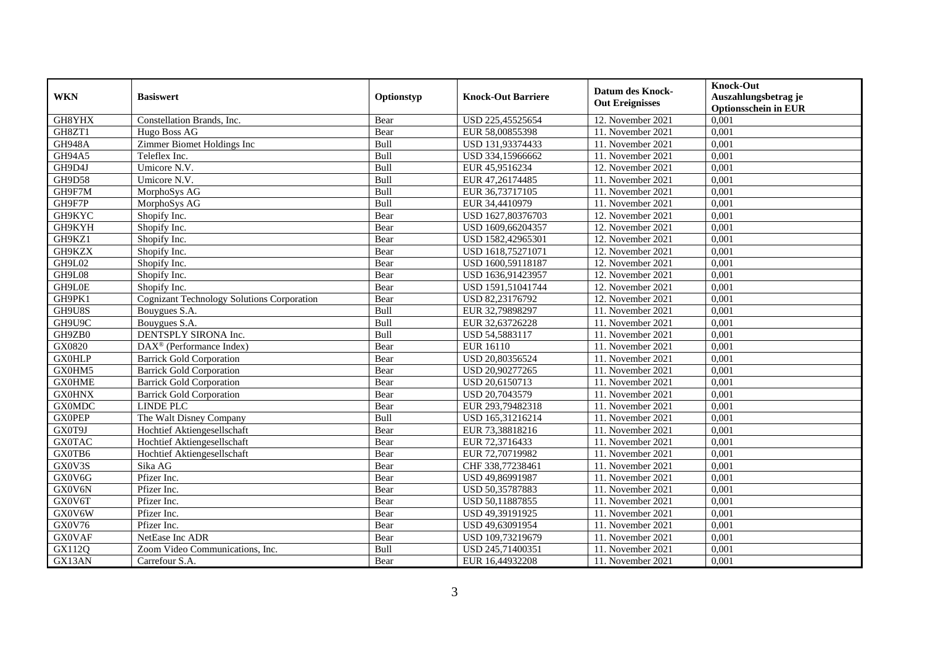| <b>WKN</b>    | <b>Basiswert</b>                                  | Optionstyp | <b>Knock-Out Barriere</b> | <b>Datum des Knock-</b><br><b>Out Ereignisses</b> | <b>Knock-Out</b><br>Auszahlungsbetrag je<br><b>Optionsschein in EUR</b> |
|---------------|---------------------------------------------------|------------|---------------------------|---------------------------------------------------|-------------------------------------------------------------------------|
| GH8YHX        | Constellation Brands, Inc.                        | Bear       | USD 225,45525654          | 12. November 2021                                 | 0,001                                                                   |
| GH8ZT1        | Hugo Boss AG                                      | Bear       | EUR 58,00855398           | 11. November 2021                                 | 0,001                                                                   |
| <b>GH948A</b> | Zimmer Biomet Holdings Inc                        | Bull       | USD 131,93374433          | 11. November 2021                                 | 0,001                                                                   |
| GH94A5        | Teleflex Inc.                                     | Bull       | USD 334,15966662          | 11. November 2021                                 | 0,001                                                                   |
| GH9D4J        | Umicore N.V.                                      | Bull       | EUR 45,9516234            | 12. November 2021                                 | 0,001                                                                   |
| GH9D58        | Umicore N.V.                                      | Bull       | EUR 47,26174485           | 11. November 2021                                 | 0,001                                                                   |
| GH9F7M        | MorphoSys AG                                      | Bull       | EUR 36,73717105           | 11. November 2021                                 | 0.001                                                                   |
| GH9F7P        | MorphoSys AG                                      | Bull       | EUR 34,4410979            | 11. November 2021                                 | 0,001                                                                   |
| GH9KYC        | Shopify Inc.                                      | Bear       | USD 1627,80376703         | 12. November 2021                                 | 0,001                                                                   |
| GH9KYH        | Shopify Inc.                                      | Bear       | USD 1609,66204357         | 12. November 2021                                 | 0,001                                                                   |
| GH9KZ1        | Shopify Inc.                                      | Bear       | USD 1582,42965301         | 12. November 2021                                 | 0,001                                                                   |
| GH9KZX        | Shopify Inc.                                      | Bear       | USD 1618,75271071         | 12. November 2021                                 | 0,001                                                                   |
| GH9L02        | Shopify Inc.                                      | Bear       | USD 1600,59118187         | 12. November 2021                                 | 0,001                                                                   |
| GH9L08        | Shopify Inc.                                      | Bear       | USD 1636,91423957         | 12. November 2021                                 | 0.001                                                                   |
| GH9L0E        | Shopify Inc.                                      | Bear       | USD 1591,51041744         | 12. November 2021                                 | 0,001                                                                   |
| GH9PK1        | <b>Cognizant Technology Solutions Corporation</b> | Bear       | USD 82,23176792           | 12. November 2021                                 | 0,001                                                                   |
| GH9U8S        | Bouygues S.A.                                     | Bull       | EUR 32,79898297           | 11. November 2021                                 | 0,001                                                                   |
| GH9U9C        | Bouygues S.A.                                     | Bull       | EUR 32,63726228           | 11. November 2021                                 | 0,001                                                                   |
| GH9ZB0        | DENTSPLY SIRONA Inc.                              | Bull       | USD 54,5883117            | 11. November 2021                                 | 0,001                                                                   |
| GX0820        | DAX <sup>®</sup> (Performance Index)              | Bear       | EUR 16110                 | 11. November 2021                                 | 0,001                                                                   |
| <b>GX0HLP</b> | <b>Barrick Gold Corporation</b>                   | Bear       | USD 20,80356524           | 11. November 2021                                 | 0,001                                                                   |
| GX0HM5        | <b>Barrick Gold Corporation</b>                   | Bear       | USD 20,90277265           | 11. November 2021                                 | 0,001                                                                   |
| <b>GX0HME</b> | <b>Barrick Gold Corporation</b>                   | Bear       | USD 20,6150713            | 11. November 2021                                 | 0,001                                                                   |
| <b>GX0HNX</b> | <b>Barrick Gold Corporation</b>                   | Bear       | USD 20,7043579            | 11. November 2021                                 | 0,001                                                                   |
| <b>GX0MDC</b> | <b>LINDE PLC</b>                                  | Bear       | EUR 293,79482318          | 11. November 2021                                 | 0,001                                                                   |
| <b>GX0PEP</b> | The Walt Disney Company                           | Bull       | USD 165,31216214          | 11. November 2021                                 | 0,001                                                                   |
| GX0T9J        | Hochtief Aktiengesellschaft                       | Bear       | EUR 73,38818216           | 11. November 2021                                 | 0,001                                                                   |
| <b>GX0TAC</b> | Hochtief Aktiengesellschaft                       | Bear       | EUR 72,3716433            | 11. November 2021                                 | 0,001                                                                   |
| GX0TB6        | Hochtief Aktiengesellschaft                       | Bear       | EUR 72,70719982           | 11. November 2021                                 | 0.001                                                                   |
| GX0V3S        | Sika AG                                           | Bear       | CHF 338,77238461          | 11. November 2021                                 | 0,001                                                                   |
| GX0V6G        | Pfizer Inc.                                       | Bear       | USD 49,86991987           | 11. November 2021                                 | 0,001                                                                   |
| GX0V6N        | Pfizer Inc.                                       | Bear       | USD 50,35787883           | 11. November 2021                                 | 0,001                                                                   |
| GX0V6T        | Pfizer Inc.                                       | Bear       | USD 50,11887855           | 11. November 2021                                 | 0,001                                                                   |
| GX0V6W        | Pfizer Inc.                                       | Bear       | USD 49,39191925           | 11. November 2021                                 | 0.001                                                                   |
| GX0V76        | Pfizer Inc.                                       | Bear       | USD 49,63091954           | 11. November 2021                                 | 0,001                                                                   |
| <b>GX0VAF</b> | NetEase Inc ADR                                   | Bear       | USD 109,73219679          | 11. November 2021                                 | 0,001                                                                   |
| GX112Q        | Zoom Video Communications, Inc.                   | Bull       | USD 245,71400351          | 11. November 2021                                 | 0,001                                                                   |
| GX13AN        | Carrefour S.A.                                    | Bear       | EUR 16,44932208           | 11. November 2021                                 | 0,001                                                                   |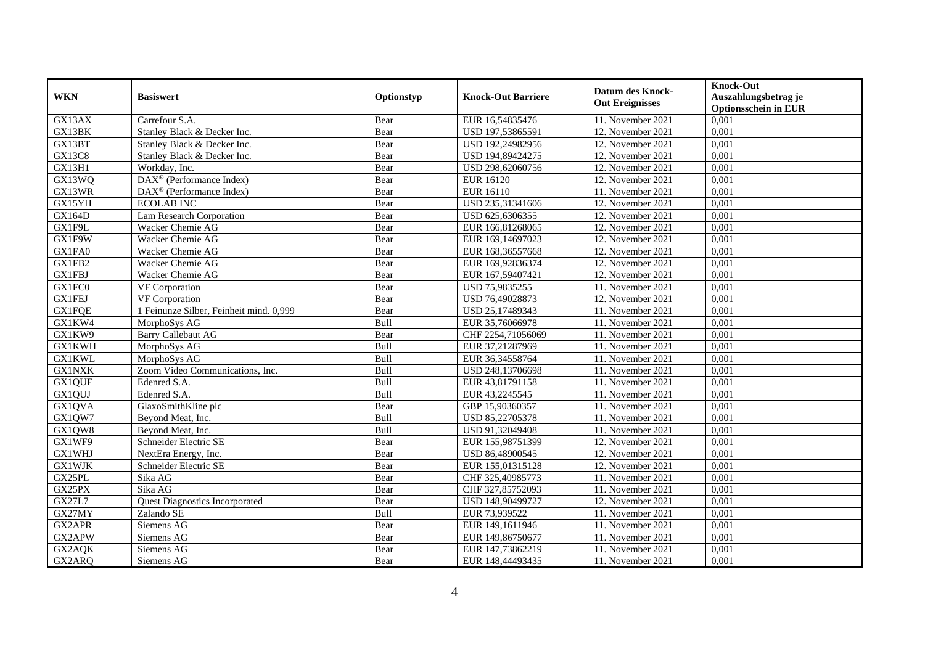| <b>WKN</b>    | <b>Basiswert</b>                        | Optionstyp  | <b>Knock-Out Barriere</b> | Datum des Knock-<br><b>Out Ereignisses</b> | <b>Knock-Out</b><br>Auszahlungsbetrag je<br><b>Optionsschein in EUR</b> |
|---------------|-----------------------------------------|-------------|---------------------------|--------------------------------------------|-------------------------------------------------------------------------|
| GX13AX        | Carrefour S.A.                          | Bear        | EUR 16,54835476           | 11. November 2021                          | 0,001                                                                   |
| GX13BK        | Stanley Black & Decker Inc.             | Bear        | USD 197,53865591          | 12. November 2021                          | 0,001                                                                   |
| GX13BT        | Stanley Black & Decker Inc.             | Bear        | USD 192,24982956          | 12. November 2021                          | 0,001                                                                   |
| <b>GX13C8</b> | Stanley Black & Decker Inc.             | Bear        | USD 194,89424275          | 12. November 2021                          | 0,001                                                                   |
| GX13H1        | Workday, Inc.                           | Bear        | USD 298,62060756          | 12. November 2021                          | 0,001                                                                   |
| GX13WQ        | DAX <sup>®</sup> (Performance Index)    | Bear        | <b>EUR 16120</b>          | 12. November 2021                          | 0,001                                                                   |
| GX13WR        | DAX <sup>®</sup> (Performance Index)    | Bear        | EUR 16110                 | 11. November 2021                          | 0,001                                                                   |
| GX15YH        | <b>ECOLAB INC</b>                       | Bear        | USD 235,31341606          | 12. November 2021                          | 0,001                                                                   |
| <b>GX164D</b> | <b>Lam Research Corporation</b>         | Bear        | USD 625,6306355           | 12. November 2021                          | 0,001                                                                   |
| GX1F9L        | Wacker Chemie AG                        | Bear        | EUR 166,81268065          | 12. November 2021                          | 0,001                                                                   |
| GX1F9W        | Wacker Chemie AG                        | Bear        | EUR 169,14697023          | 12. November 2021                          | 0,001                                                                   |
| GX1FA0        | Wacker Chemie AG                        | Bear        | EUR 168,36557668          | 12. November 2021                          | $0,\overline{001}$                                                      |
| GX1FB2        | Wacker Chemie AG                        | Bear        | EUR 169,92836374          | 12. November 2021                          | 0,001                                                                   |
| <b>GX1FBJ</b> | Wacker Chemie AG                        | Bear        | EUR 167,59407421          | 12. November 2021                          | 0,001                                                                   |
| GX1FC0        | VF Corporation                          | Bear        | USD 75,9835255            | 11. November 2021                          | 0,001                                                                   |
| <b>GX1FEJ</b> | VF Corporation                          | Bear        | USD 76,49028873           | 12. November 2021                          | 0,001                                                                   |
| <b>GX1FQE</b> | 1 Feinunze Silber, Feinheit mind. 0,999 | Bear        | USD 25,17489343           | 11. November 2021                          | 0,001                                                                   |
| GX1KW4        | MorphoSys AG                            | <b>Bull</b> | EUR 35,76066978           | 11. November 2021                          | 0.001                                                                   |
| GX1KW9        | <b>Barry Callebaut AG</b>               | Bear        | CHF 2254,71056069         | 11. November 2021                          | 0,001                                                                   |
| <b>GX1KWH</b> | MorphoSys AG                            | Bull        | EUR 37,21287969           | 11. November 2021                          | 0,001                                                                   |
| <b>GX1KWL</b> | MorphoSys AG                            | Bull        | EUR 36,34558764           | 11. November 2021                          | 0,001                                                                   |
| <b>GX1NXK</b> | Zoom Video Communications, Inc.         | Bull        | USD 248,13706698          | 11. November 2021                          | 0,001                                                                   |
| GX1QUF        | Edenred S.A.                            | Bull        | EUR 43,81791158           | 11. November 2021                          | 0,001                                                                   |
| GX1QUJ        | Edenred S.A.                            | Bull        | EUR 43,2245545            | 11. November 2021                          | 0,001                                                                   |
| GX1QVA        | GlaxoSmithKline plc                     | Bear        | GBP 15,90360357           | 11. November 2021                          | 0,001                                                                   |
| GX1QW7        | Beyond Meat, Inc.                       | Bull        | USD 85,22705378           | 11. November 2021                          | 0,001                                                                   |
| GX1QW8        | Beyond Meat, Inc.                       | Bull        | USD 91,32049408           | 11. November 2021                          | 0,001                                                                   |
| GX1WF9        | Schneider Electric SE                   | Bear        | EUR 155,98751399          | 12. November 2021                          | 0,001                                                                   |
| <b>GX1WHJ</b> | NextEra Energy, Inc.                    | Bear        | USD 86,48900545           | 12. November 2021                          | 0,001                                                                   |
| <b>GX1WJK</b> | Schneider Electric SE                   | Bear        | EUR 155,01315128          | 12. November 2021                          | 0,001                                                                   |
| GX25PL        | Sika AG                                 | Bear        | CHF 325,40985773          | 11. November 2021                          | 0,001                                                                   |
| GX25PX        | Sika AG                                 | Bear        | CHF 327,85752093          | 11. November 2021                          | 0,001                                                                   |
| <b>GX27L7</b> | <b>Quest Diagnostics Incorporated</b>   | Bear        | USD 148,90499727          | 12. November 2021                          | 0,001                                                                   |
| GX27MY        | Zalando SE                              | Bull        | EUR 73,939522             | 11. November 2021                          | 0,001                                                                   |
| GX2APR        | Siemens AG                              | Bear        | EUR 149,1611946           | 11. November 2021                          | 0,001                                                                   |
| GX2APW        | Siemens AG                              | Bear        | EUR 149,86750677          | 11. November 2021                          | 0,001                                                                   |
| GX2AQK        | Siemens AG                              | Bear        | EUR 147,73862219          | 11. November 2021                          | 0,001                                                                   |
| GX2ARQ        | Siemens AG                              | Bear        | EUR 148,44493435          | 11. November 2021                          | 0,001                                                                   |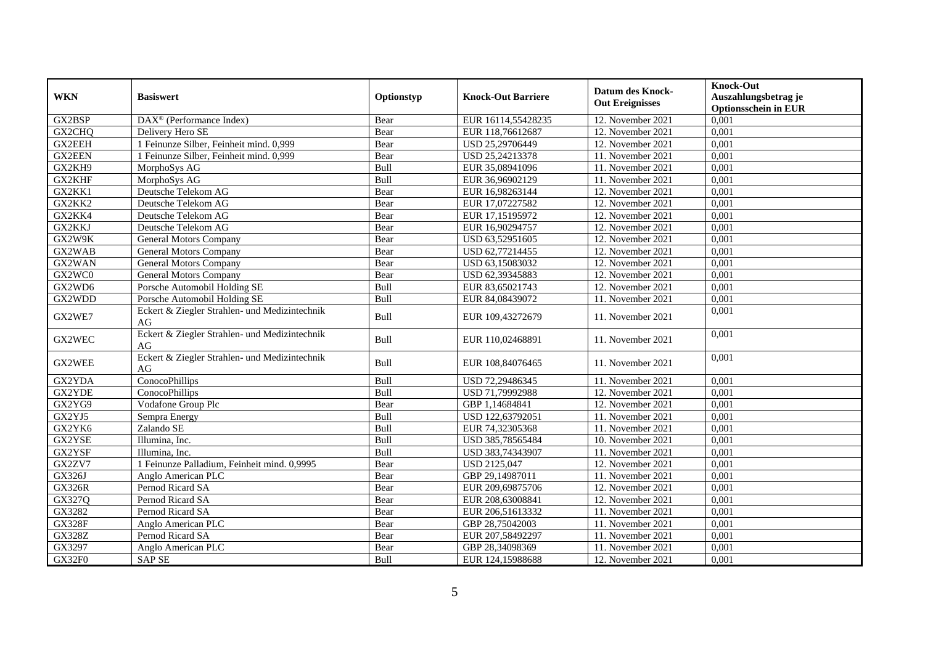| <b>WKN</b>    | <b>Basiswert</b>                                    | Optionstyp  | <b>Knock-Out Barriere</b> | <b>Datum des Knock-</b><br><b>Out Ereignisses</b> | <b>Knock-Out</b><br>Auszahlungsbetrag je<br><b>Optionsschein in EUR</b> |
|---------------|-----------------------------------------------------|-------------|---------------------------|---------------------------------------------------|-------------------------------------------------------------------------|
| GX2BSP        | DAX <sup>®</sup> (Performance Index)                | Bear        | EUR 16114,55428235        | 12. November 2021                                 | 0,001                                                                   |
| GX2CHO        | Delivery Hero SE                                    | Bear        | EUR 118,76612687          | 12. November 2021                                 | 0,001                                                                   |
| <b>GX2EEH</b> | 1 Feinunze Silber, Feinheit mind. 0,999             | Bear        | USD 25,29706449           | 12. November 2021                                 | 0,001                                                                   |
| <b>GX2EEN</b> | 1 Feinunze Silber, Feinheit mind. 0,999             | Bear        | USD 25,24213378           | 11. November 2021                                 | 0,001                                                                   |
| GX2KH9        | MorphoSys AG                                        | Bull        | EUR 35,08941096           | 11. November 2021                                 | 0,001                                                                   |
| GX2KHF        | MorphoSys AG                                        | Bull        | EUR 36,96902129           | 11. November 2021                                 | 0,001                                                                   |
| GX2KK1        | Deutsche Telekom AG                                 | Bear        | EUR 16,98263144           | 12. November 2021                                 | 0,001                                                                   |
| GX2KK2        | Deutsche Telekom AG                                 | Bear        | EUR 17,07227582           | 12. November 2021                                 | 0,001                                                                   |
| GX2KK4        | Deutsche Telekom AG                                 | Bear        | EUR 17,15195972           | 12. November 2021                                 | 0,001                                                                   |
| GX2KKJ        | Deutsche Telekom AG                                 | Bear        | EUR 16,90294757           | 12. November 2021                                 | 0,001                                                                   |
| GX2W9K        | General Motors Company                              | Bear        | USD 63,52951605           | 12. November 2021                                 | 0.001                                                                   |
| GX2WAB        | <b>General Motors Company</b>                       | Bear        | USD 62,77214455           | 12. November 2021                                 | 0,001                                                                   |
| GX2WAN        | <b>General Motors Company</b>                       | Bear        | USD 63,15083032           | 12. November 2021                                 | 0,001                                                                   |
| GX2WC0        | <b>General Motors Company</b>                       | Bear        | USD 62,39345883           | 12. November 2021                                 | 0,001                                                                   |
| GX2WD6        | Porsche Automobil Holding SE                        | Bull        | EUR 83,65021743           | 12. November 2021                                 | 0,001                                                                   |
| GX2WDD        | Porsche Automobil Holding SE                        | Bull        | EUR 84,08439072           | 11. November 2021                                 | 0,001                                                                   |
| GX2WE7        | Eckert & Ziegler Strahlen- und Medizintechnik<br>AG | Bull        | EUR 109,43272679          | 11. November 2021                                 | 0,001                                                                   |
| GX2WEC        | Eckert & Ziegler Strahlen- und Medizintechnik<br>AG | Bull        | EUR 110,02468891          | 11. November 2021                                 | 0,001                                                                   |
| GX2WEE        | Eckert & Ziegler Strahlen- und Medizintechnik<br>AG | <b>Bull</b> | EUR 108,84076465          | 11. November 2021                                 | 0,001                                                                   |
| GX2YDA        | ConocoPhillips                                      | Bull        | USD 72,29486345           | 11. November 2021                                 | 0,001                                                                   |
| GX2YDE        | ConocoPhillips                                      | Bull        | USD 71,79992988           | 12. November 2021                                 | 0,001                                                                   |
| GX2YG9        | Vodafone Group Plc                                  | Bear        | GBP 1,14684841            | 12. November 2021                                 | 0,001                                                                   |
| GX2YJ5        | Sempra Energy                                       | Bull        | USD 122,63792051          | 11. November 2021                                 | 0,001                                                                   |
| GX2YK6        | Zalando SE                                          | Bull        | EUR 74,32305368           | 11. November 2021                                 | 0,001                                                                   |
| GX2YSE        | Illumina, Inc.                                      | Bull        | USD 385,78565484          | 10. November 2021                                 | 0,001                                                                   |
| GX2YSF        | Illumina, Inc.                                      | Bull        | USD 383,74343907          | 11. November 2021                                 | 0,001                                                                   |
| GX2ZV7        | 1 Feinunze Palladium, Feinheit mind. 0,9995         | Bear        | USD 2125,047              | 12. November 2021                                 | 0,001                                                                   |
| GX326J        | Anglo American PLC                                  | Bear        | GBP 29,14987011           | 11. November 2021                                 | 0,001                                                                   |
| <b>GX326R</b> | Pernod Ricard SA                                    | Bear        | EUR 209,69875706          | 12. November 2021                                 | 0,001                                                                   |
| GX327Q        | Pernod Ricard SA                                    | Bear        | EUR 208,63008841          | 12. November 2021                                 | 0,001                                                                   |
| GX3282        | Pernod Ricard SA                                    | Bear        | EUR 206.51613332          | 11. November 2021                                 | 0.001                                                                   |
| <b>GX328F</b> | Anglo American PLC                                  | Bear        | GBP 28,75042003           | 11. November 2021                                 | 0,001                                                                   |
| <b>GX328Z</b> | Pernod Ricard SA                                    | Bear        | EUR 207,58492297          | 11. November 2021                                 | 0,001                                                                   |
| GX3297        | Anglo American PLC                                  | Bear        | GBP 28,34098369           | 11. November 2021                                 | 0,001                                                                   |
| GX32F0        | <b>SAP SE</b>                                       | Bull        | EUR 124,15988688          | 12. November 2021                                 | 0,001                                                                   |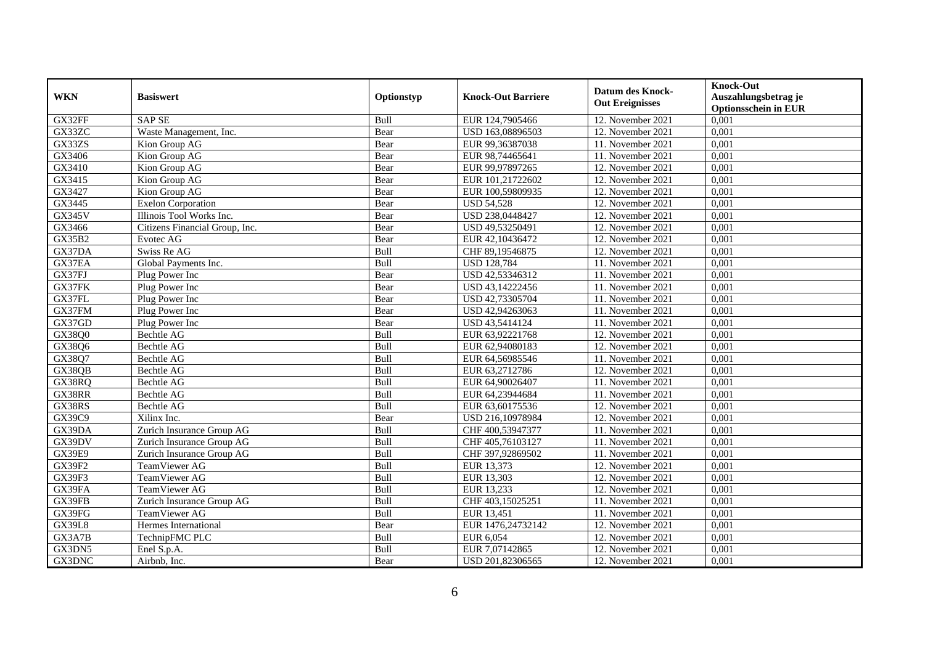| <b>WKN</b>    | <b>Basiswert</b>               | Optionstyp | <b>Knock-Out Barriere</b> | <b>Datum des Knock-</b><br><b>Out Ereignisses</b> | <b>Knock-Out</b><br>Auszahlungsbetrag je<br><b>Optionsschein in EUR</b> |
|---------------|--------------------------------|------------|---------------------------|---------------------------------------------------|-------------------------------------------------------------------------|
| GX32FF        | <b>SAP SE</b>                  | Bull       | EUR 124,7905466           | 12. November 2021                                 | 0,001                                                                   |
| GX33ZC        | Waste Management, Inc.         | Bear       | USD 163,08896503          | 12. November 2021                                 | 0,001                                                                   |
| GX33ZS        | Kion Group AG                  | Bear       | EUR 99,36387038           | 11. November 2021                                 | 0,001                                                                   |
| GX3406        | Kion Group AG                  | Bear       | EUR 98,74465641           | 11. November 2021                                 | 0,001                                                                   |
| GX3410        | Kion Group AG                  | Bear       | EUR 99,97897265           | 12. November 2021                                 | 0,001                                                                   |
| GX3415        | Kion Group AG                  | Bear       | EUR 101,21722602          | 12. November 2021                                 | 0,001                                                                   |
| GX3427        | Kion Group AG                  | Bear       | EUR 100,59809935          | 12. November 2021                                 | 0,001                                                                   |
| GX3445        | <b>Exelon Corporation</b>      | Bear       | <b>USD 54,528</b>         | 12. November 2021                                 | 0,001                                                                   |
| <b>GX345V</b> | Illinois Tool Works Inc.       | Bear       | USD 238,0448427           | 12. November 2021                                 | 0,001                                                                   |
| GX3466        | Citizens Financial Group, Inc. | Bear       | USD 49,53250491           | 12. November 2021                                 | 0,001                                                                   |
| <b>GX35B2</b> | Evotec AG                      | Bear       | EUR 42,10436472           | 12. November 2021                                 | 0,001                                                                   |
| GX37DA        | Swiss Re AG                    | Bull       | CHF 89,19546875           | 12. November 2021                                 | 0,001                                                                   |
| GX37EA        | Global Payments Inc.           | Bull       | <b>USD 128,784</b>        | 11. November 2021                                 | 0,001                                                                   |
| GX37FJ        | Plug Power Inc                 | Bear       | USD 42,53346312           | 11. November 2021                                 | 0,001                                                                   |
| GX37FK        | Plug Power Inc                 | Bear       | USD 43,14222456           | 11. November 2021                                 | 0,001                                                                   |
| GX37FL        | Plug Power Inc                 | Bear       | USD 42,73305704           | 11. November 2021                                 | 0,001                                                                   |
| GX37FM        | Plug Power Inc                 | Bear       | USD 42,94263063           | 11. November 2021                                 | 0,001                                                                   |
| GX37GD        | Plug Power Inc                 | Bear       | USD 43,5414124            | 11. November 2021                                 | 0,001                                                                   |
| GX38Q0        | Bechtle AG                     | Bull       | EUR 63,92221768           | 12. November 2021                                 | 0,001                                                                   |
| GX38Q6        | Bechtle AG                     | Bull       | EUR 62,94080183           | 12. November 2021                                 | 0,001                                                                   |
| GX38Q7        | Bechtle AG                     | Bull       | EUR 64,56985546           | 11. November 2021                                 | 0,001                                                                   |
| GX38QB        | Bechtle AG                     | Bull       | EUR 63,2712786            | 12. November 2021                                 | 0,001                                                                   |
| GX38RQ        | Bechtle AG                     | Bull       | EUR 64,90026407           | 11. November 2021                                 | 0,001                                                                   |
| GX38RR        | Bechtle AG                     | Bull       | EUR 64,23944684           | 11. November 2021                                 | 0,001                                                                   |
| GX38RS        | Bechtle AG                     | Bull       | EUR 63,60175536           | 12. November 2021                                 | 0,001                                                                   |
| GX39C9        | Xilinx Inc.                    | Bear       | USD 216,10978984          | 12. November 2021                                 | 0,001                                                                   |
| GX39DA        | Zurich Insurance Group AG      | Bull       | CHF 400,53947377          | 11. November 2021                                 | 0,001                                                                   |
| GX39DV        | Zurich Insurance Group AG      | Bull       | CHF 405,76103127          | 11. November 2021                                 | 0,001                                                                   |
| <b>GX39E9</b> | Zurich Insurance Group AG      | Bull       | CHF 397,92869502          | 11. November 2021                                 | 0,001                                                                   |
| <b>GX39F2</b> | TeamViewer AG                  | Bull       | EUR 13,373                | 12. November 2021                                 | 0,001                                                                   |
| GX39F3        | TeamViewer AG                  | Bull       | EUR 13,303                | 12. November 2021                                 | 0,001                                                                   |
| GX39FA        | TeamViewer AG                  | Bull       | EUR 13,233                | 12. November 2021                                 | 0,001                                                                   |
| GX39FB        | Zurich Insurance Group AG      | Bull       | CHF 403,15025251          | 11. November 2021                                 | 0,001                                                                   |
| GX39FG        | TeamViewer AG                  | Bull       | EUR 13,451                | 11. November 2021                                 | 0,001                                                                   |
| <b>GX39L8</b> | Hermes International           | Bear       | EUR 1476,24732142         | 12. November 2021                                 | 0,001                                                                   |
| GX3A7B        | TechnipFMC PLC                 | Bull       | EUR 6,054                 | 12. November 2021                                 | 0,001                                                                   |
| GX3DN5        | Enel S.p.A.                    | Bull       | EUR 7,07142865            | 12. November 2021                                 | 0,001                                                                   |
| GX3DNC        | Airbnb, Inc.                   | Bear       | USD 201,82306565          | 12. November 2021                                 | 0,001                                                                   |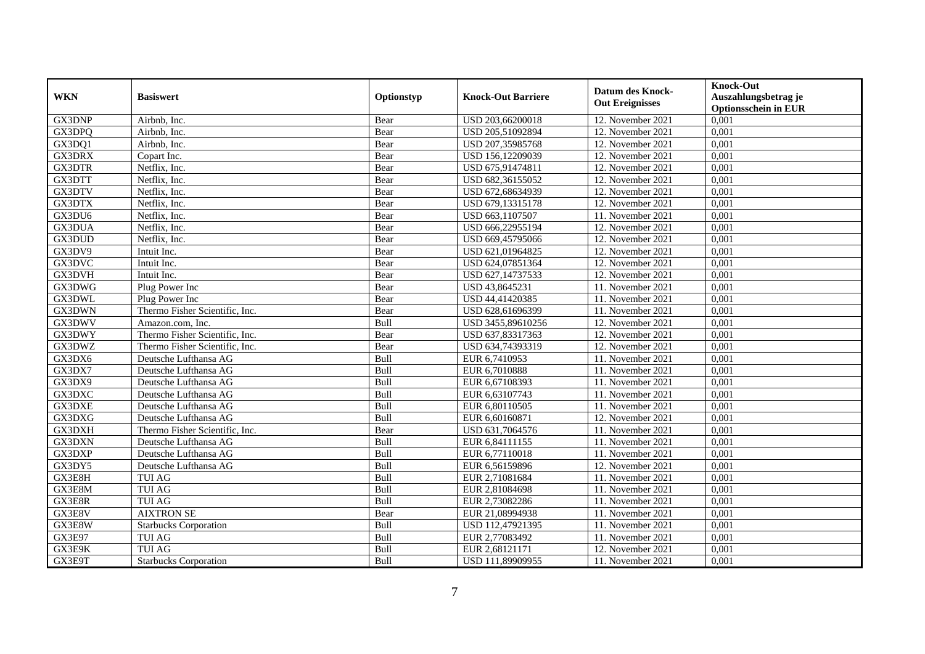| <b>WKN</b>    | <b>Basiswert</b>               | Optionstyp  | <b>Knock-Out Barriere</b> | <b>Datum des Knock-</b><br><b>Out Ereignisses</b> | <b>Knock-Out</b><br>Auszahlungsbetrag je<br><b>Optionsschein in EUR</b> |
|---------------|--------------------------------|-------------|---------------------------|---------------------------------------------------|-------------------------------------------------------------------------|
| GX3DNP        | Airbnb, Inc.                   | Bear        | USD 203,66200018          | 12. November 2021                                 | 0,001                                                                   |
| GX3DPO        | Airbnb. Inc.                   | Bear        | USD 205,51092894          | 12. November 2021                                 | 0,001                                                                   |
| GX3DQ1        | Airbnb, Inc.                   | Bear        | USD 207,35985768          | 12. November 2021                                 | 0,001                                                                   |
| GX3DRX        | Copart Inc.                    | Bear        | USD 156,12209039          | 12. November 2021                                 | 0,001                                                                   |
| <b>GX3DTR</b> | Netflix, Inc.                  | Bear        | USD 675,91474811          | 12. November 2021                                 | 0,001                                                                   |
| GX3DTT        | Netflix, Inc.                  | Bear        | USD 682,36155052          | 12. November 2021                                 | 0,001                                                                   |
| GX3DTV        | Netflix, Inc.                  | Bear        | USD 672,68634939          | 12. November 2021                                 | 0,001                                                                   |
| GX3DTX        | Netflix, Inc.                  | Bear        | USD 679,13315178          | 12. November 2021                                 | 0,001                                                                   |
| GX3DU6        | Netflix, Inc.                  | Bear        | USD 663,1107507           | 11. November 2021                                 | 0,001                                                                   |
| GX3DUA        | Netflix, Inc.                  | Bear        | USD 666,22955194          | 12. November 2021                                 | 0,001                                                                   |
| GX3DUD        | Netflix, Inc.                  | Bear        | USD 669,45795066          | 12. November 2021                                 | 0,001                                                                   |
| GX3DV9        | Intuit Inc.                    | Bear        | USD 621,01964825          | 12. November 2021                                 | 0,001                                                                   |
| GX3DVC        | Intuit Inc.                    | Bear        | USD 624,07851364          | 12. November 2021                                 | 0,001                                                                   |
| GX3DVH        | Intuit Inc.                    | Bear        | USD 627,14737533          | 12. November 2021                                 | 0,001                                                                   |
| GX3DWG        | Plug Power Inc                 | Bear        | USD 43,8645231            | 11. November 2021                                 | 0,001                                                                   |
| GX3DWL        | Plug Power Inc                 | Bear        | USD 44,41420385           | 11. November 2021                                 | 0,001                                                                   |
| GX3DWN        | Thermo Fisher Scientific, Inc. | Bear        | USD 628,61696399          | 11. November 2021                                 | 0,001                                                                   |
| GX3DWV        | Amazon.com. Inc.               | <b>Bull</b> | USD 3455,89610256         | 12. November 2021                                 | 0,001                                                                   |
| GX3DWY        | Thermo Fisher Scientific, Inc. | Bear        | USD 637,83317363          | 12. November 2021                                 | 0,001                                                                   |
| GX3DWZ        | Thermo Fisher Scientific, Inc. | Bear        | USD 634,74393319          | 12. November 2021                                 | 0,001                                                                   |
| GX3DX6        | Deutsche Lufthansa AG          | Bull        | EUR 6,7410953             | 11. November 2021                                 | 0,001                                                                   |
| GX3DX7        | Deutsche Lufthansa AG          | Bull        | EUR 6,7010888             | 11. November 2021                                 | 0,001                                                                   |
| GX3DX9        | Deutsche Lufthansa AG          | Bull        | EUR 6,67108393            | 11. November 2021                                 | 0,001                                                                   |
| GX3DXC        | Deutsche Lufthansa AG          | Bull        | EUR 6,63107743            | 11. November 2021                                 | 0,001                                                                   |
| GX3DXE        | Deutsche Lufthansa AG          | Bull        | EUR 6,80110505            | 11. November 2021                                 | 0,001                                                                   |
| GX3DXG        | Deutsche Lufthansa AG          | Bull        | EUR 6,60160871            | 12. November 2021                                 | 0,001                                                                   |
| GX3DXH        | Thermo Fisher Scientific, Inc. | Bear        | USD 631,7064576           | 11. November 2021                                 | 0,001                                                                   |
| GX3DXN        | Deutsche Lufthansa AG          | Bull        | EUR 6,84111155            | 11. November 2021                                 | 0,001                                                                   |
| GX3DXP        | Deutsche Lufthansa AG          | Bull        | EUR 6,77110018            | 11. November 2021                                 | 0.001                                                                   |
| GX3DY5        | Deutsche Lufthansa AG          | Bull        | EUR 6,56159896            | 12. November 2021                                 | 0,001                                                                   |
| GX3E8H        | <b>TUI AG</b>                  | Bull        | EUR 2,71081684            | 11. November 2021                                 | 0,001                                                                   |
| GX3E8M        | <b>TUI AG</b>                  | Bull        | EUR 2,81084698            | 11. November 2021                                 | 0,001                                                                   |
| GX3E8R        | <b>TUI AG</b>                  | Bull        | EUR 2,73082286            | 11. November 2021                                 | 0,001                                                                   |
| GX3E8V        | <b>AIXTRON SE</b>              | Bear        | EUR 21,08994938           | 11. November 2021                                 | 0.001                                                                   |
| GX3E8W        | <b>Starbucks Corporation</b>   | Bull        | USD 112,47921395          | 11. November 2021                                 | 0,001                                                                   |
| <b>GX3E97</b> | <b>TUI AG</b>                  | Bull        | EUR 2,77083492            | 11. November 2021                                 | 0,001                                                                   |
| GX3E9K        | <b>TUI AG</b>                  | Bull        | EUR 2,68121171            | 12. November 2021                                 | 0,001                                                                   |
| GX3E9T        | <b>Starbucks Corporation</b>   | Bull        | USD 111,89909955          | 11. November 2021                                 | 0,001                                                                   |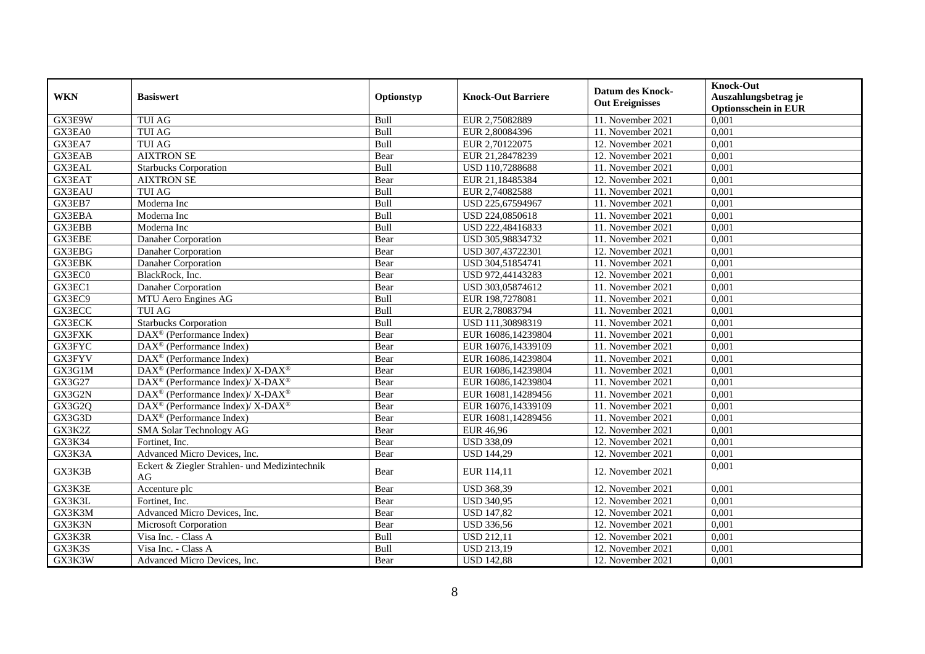| <b>WKN</b>    | <b>Basiswert</b>                                            | Optionstyp  | <b>Knock-Out Barriere</b> | <b>Datum des Knock-</b><br><b>Out Ereignisses</b> | <b>Knock-Out</b><br>Auszahlungsbetrag je<br><b>Optionsschein in EUR</b> |
|---------------|-------------------------------------------------------------|-------------|---------------------------|---------------------------------------------------|-------------------------------------------------------------------------|
| GX3E9W        | <b>TUI AG</b>                                               | Bull        | EUR 2,75082889            | 11. November 2021                                 | 0,001                                                                   |
| GX3EA0        | <b>TUI AG</b>                                               | Bull        | EUR 2,80084396            | 11. November 2021                                 | 0,001                                                                   |
| GX3EA7        | <b>TUI AG</b>                                               | Bull        | EUR 2,70122075            | 12. November 2021                                 | 0,001                                                                   |
| <b>GX3EAB</b> | <b>AIXTRON SE</b>                                           | Bear        | EUR 21,28478239           | 12. November 2021                                 | 0,001                                                                   |
| <b>GX3EAL</b> | <b>Starbucks Corporation</b>                                | Bull        | USD 110,7288688           | 11. November 2021                                 | 0,001                                                                   |
| <b>GX3EAT</b> | <b>AIXTRON SE</b>                                           | Bear        | EUR 21,18485384           | 12. November 2021                                 | 0,001                                                                   |
| <b>GX3EAU</b> | <b>TUI AG</b>                                               | Bull        | EUR 2,74082588            | 11. November 2021                                 | 0,001                                                                   |
| GX3EB7        | Moderna Inc                                                 | Bull        | USD 225,67594967          | 11. November 2021                                 | 0,001                                                                   |
| GX3EBA        | Moderna Inc                                                 | Bull        | USD 224,0850618           | 11. November 2021                                 | 0,001                                                                   |
| GX3EBB        | Moderna Inc                                                 | Bull        | USD 222,48416833          | 11. November 2021                                 | 0,001                                                                   |
| <b>GX3EBE</b> | Danaher Corporation                                         | Bear        | USD 305,98834732          | 11. November 2021                                 | 0,001                                                                   |
| GX3EBG        | Danaher Corporation                                         | Bear        | USD 307,43722301          | 12. November 2021                                 | 0,001                                                                   |
| <b>GX3EBK</b> | Danaher Corporation                                         | Bear        | USD 304,51854741          | 11. November 2021                                 | 0,001                                                                   |
| GX3EC0        | BlackRock, Inc.                                             | Bear        | USD 972,44143283          | 12. November 2021                                 | 0,001                                                                   |
| GX3EC1        | Danaher Corporation                                         | Bear        | USD 303,05874612          | 11. November 2021                                 | 0,001                                                                   |
| GX3EC9        | MTU Aero Engines AG                                         | Bull        | EUR 198,7278081           | 11. November 2021                                 | 0,001                                                                   |
| GX3ECC        | <b>TUI AG</b>                                               | Bull        | EUR 2,78083794            | 11. November 2021                                 | 0,001                                                                   |
| <b>GX3ECK</b> | <b>Starbucks Corporation</b>                                | <b>Bull</b> | USD 111,30898319          | 11. November 2021                                 | 0.001                                                                   |
| <b>GX3FXK</b> | DAX <sup>®</sup> (Performance Index)                        | Bear        | EUR 16086,14239804        | 11. November 2021                                 | 0,001                                                                   |
| <b>GX3FYC</b> | DAX <sup>®</sup> (Performance Index)                        | Bear        | EUR 16076,14339109        | 11. November 2021                                 | 0,001                                                                   |
| GX3FYV        | DAX <sup>®</sup> (Performance Index)                        | Bear        | EUR 16086,14239804        | 11. November 2021                                 | 0,001                                                                   |
| GX3G1M        | DAX <sup>®</sup> (Performance Index)/ X-DAX <sup>®</sup>    | Bear        | EUR 16086,14239804        | 11. November 2021                                 | 0,001                                                                   |
| GX3G27        | DAX <sup>®</sup> (Performance Index)/X-DAX <sup>®</sup>     | Bear        | EUR 16086,14239804        | 11. November 2021                                 | 0,001                                                                   |
| GX3G2N        | DAX <sup>®</sup> (Performance Index)/ X-DAX <sup>®</sup>    | Bear        | EUR 16081,14289456        | 11. November 2021                                 | 0,001                                                                   |
| GX3G2Q        | $DAX^{\circledcirc}$ (Performance Index)/X-DAX <sup>®</sup> | Bear        | EUR 16076.14339109        | 11. November 2021                                 | 0,001                                                                   |
| GX3G3D        | DAX <sup>®</sup> (Performance Index)                        | Bear        | EUR 16081,14289456        | 11. November 2021                                 | 0,001                                                                   |
| GX3K2Z        | SMA Solar Technology AG                                     | Bear        | <b>EUR 46,96</b>          | 12. November 2021                                 | 0,001                                                                   |
| GX3K34        | Fortinet. Inc.                                              | Bear        | <b>USD 338,09</b>         | 12. November 2021                                 | 0,001                                                                   |
| GX3K3A        | Advanced Micro Devices, Inc.                                | Bear        | <b>USD 144,29</b>         | 12. November 2021                                 | 0,001                                                                   |
| GX3K3B        | Eckert & Ziegler Strahlen- und Medizintechnik<br>AG         | Bear        | EUR 114,11                | 12. November 2021                                 | 0,001                                                                   |
| GX3K3E        | Accenture plc                                               | Bear        | <b>USD 368,39</b>         | 12. November 2021                                 | 0,001                                                                   |
| GX3K3L        | Fortinet. Inc.                                              | Bear        | <b>USD 340,95</b>         | 12. November 2021                                 | 0,001                                                                   |
| GX3K3M        | Advanced Micro Devices, Inc.                                | Bear        | <b>USD 147,82</b>         | 12. November 2021                                 | 0,001                                                                   |
| GX3K3N        | Microsoft Corporation                                       | Bear        | <b>USD 336,56</b>         | 12. November 2021                                 | 0,001                                                                   |
| GX3K3R        | Visa Inc. - Class A                                         | Bull        | <b>USD 212,11</b>         | 12. November 2021                                 | 0,001                                                                   |
| GX3K3S        | Visa Inc. - Class A                                         | Bull        | <b>USD 213,19</b>         | 12. November 2021                                 | 0,001                                                                   |
| GX3K3W        | Advanced Micro Devices, Inc.                                | Bear        | <b>USD 142,88</b>         | 12. November 2021                                 | 0,001                                                                   |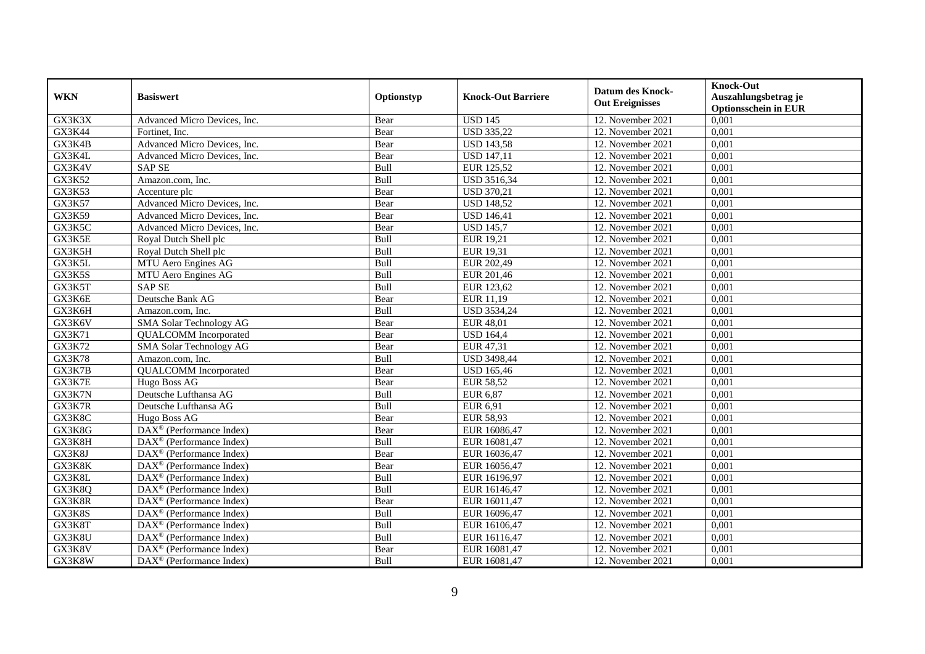| <b>WKN</b>    | <b>Basiswert</b>                                            | Optionstyp  | <b>Knock-Out Barriere</b> | <b>Datum des Knock-</b> | <b>Knock-Out</b><br>Auszahlungsbetrag je |
|---------------|-------------------------------------------------------------|-------------|---------------------------|-------------------------|------------------------------------------|
|               |                                                             |             |                           | <b>Out Ereignisses</b>  | <b>Optionsschein in EUR</b>              |
| GX3K3X        | Advanced Micro Devices, Inc.                                | Bear        | <b>USD 145</b>            | 12. November 2021       | 0,001                                    |
| GX3K44        | Fortinet, Inc.                                              | Bear        | <b>USD 335,22</b>         | 12. November 2021       | 0,001                                    |
| GX3K4B        | Advanced Micro Devices, Inc.                                | Bear        | <b>USD 143,58</b>         | 12. November 2021       | 0,001                                    |
| GX3K4L        | Advanced Micro Devices, Inc.                                | Bear        | <b>USD 147,11</b>         | 12. November 2021       | 0,001                                    |
| GX3K4V        | <b>SAP SE</b>                                               | Bull        | EUR 125,52                | 12. November 2021       | 0,001                                    |
| GX3K52        | Amazon.com, Inc.                                            | Bull        | <b>USD 3516,34</b>        | 12. November 2021       | 0,001                                    |
| GX3K53        | Accenture plc                                               | Bear        | <b>USD 370,21</b>         | 12. November 2021       | 0,001                                    |
| GX3K57        | Advanced Micro Devices, Inc.                                | Bear        | <b>USD 148,52</b>         | 12. November 2021       | 0,001                                    |
| GX3K59        | Advanced Micro Devices, Inc.                                | Bear        | <b>USD 146,41</b>         | 12. November 2021       | 0,001                                    |
| GX3K5C        | Advanced Micro Devices, Inc.                                | Bear        | <b>USD 145,7</b>          | 12. November 2021       | 0,001                                    |
| GX3K5E        | Royal Dutch Shell plc                                       | Bull        | EUR 19,21                 | 12. November 2021       | 0,001                                    |
| GX3K5H        | Royal Dutch Shell plc                                       | Bull        | <b>EUR 19,31</b>          | 12. November 2021       | 0,001                                    |
| GX3K5L        | MTU Aero Engines AG                                         | Bull        | EUR 202,49                | 12. November 2021       | 0,001                                    |
| GX3K5S        | MTU Aero Engines AG                                         | Bull        | EUR 201,46                | 12. November 2021       | 0,001                                    |
| GX3K5T        | <b>SAP SE</b>                                               | Bull        | EUR 123,62                | 12. November 2021       | 0,001                                    |
| GX3K6E        | Deutsche Bank AG                                            | Bear        | EUR 11,19                 | 12. November 2021       | 0,001                                    |
| GX3K6H        | Amazon.com, Inc.                                            | Bull        | <b>USD 3534,24</b>        | 12. November 2021       | 0,001                                    |
| GX3K6V        | SMA Solar Technology AG                                     | Bear        | <b>EUR 48.01</b>          | 12. November 2021       | 0.001                                    |
| GX3K71        | <b>QUALCOMM</b> Incorporated                                | Bear        | <b>USD</b> 164,4          | 12. November 2021       | 0,001                                    |
| GX3K72        | <b>SMA Solar Technology AG</b>                              | Bear        | EUR 47,31                 | 12. November 2021       | 0,001                                    |
| <b>GX3K78</b> | Amazon.com, Inc.                                            | Bull        | <b>USD 3498,44</b>        | 12. November 2021       | 0,001                                    |
| GX3K7B        | <b>QUALCOMM</b> Incorporated                                | Bear        | <b>USD 165,46</b>         | 12. November 2021       | 0,001                                    |
| GX3K7E        | Hugo Boss AG                                                | Bear        | <b>EUR 58,52</b>          | 12. November 2021       | 0,001                                    |
| GX3K7N        | Deutsche Lufthansa AG                                       | Bull        | EUR 6,87                  | 12. November 2021       | 0,001                                    |
| GX3K7R        | Deutsche Lufthansa AG                                       | <b>Bull</b> | <b>EUR 6.91</b>           | 12. November 2021       | 0,001                                    |
| GX3K8C        | Hugo Boss AG                                                | Bear        | <b>EUR 58,93</b>          | 12. November 2021       | 0,001                                    |
| GX3K8G        | DAX <sup>®</sup> (Performance Index)                        | Bear        | EUR 16086,47              | 12. November 2021       | 0,001                                    |
| GX3K8H        | $\overline{\text{DAX}^{\otimes}}$ (Performance Index)       | Bull        | EUR 16081,47              | 12. November 2021       | 0,001                                    |
| GX3K8J        | DAX <sup>®</sup> (Performance Index)                        | Bear        | EUR 16036,47              | 12. November 2021       | 0,001                                    |
| GX3K8K        | $\overline{\text{DAX}^{\otimes}}$ (Performance Index)       | Bear        | EUR 16056,47              | 12. November 2021       | 0,001                                    |
| GX3K8L        | $\text{DAX}^{\otimes}$ (Performance Index)                  | Bull        | EUR 16196,97              | 12. November 2021       | 0,001                                    |
| GX3K8Q        | $DAX^{\otimes}$ (Performance Index)                         | Bull        | EUR 16146,47              | 12. November 2021       | 0,001                                    |
| GX3K8R        | $\overline{\text{DAX}^{\otimes}(\text{Performance Index})}$ | Bear        | EUR 16011,47              | 12. November 2021       | 0,001                                    |
| GX3K8S        | DAX <sup>®</sup> (Performance Index)                        | Bull        | EUR 16096,47              | 12. November 2021       | 0,001                                    |
| GX3K8T        | DAX <sup>®</sup> (Performance Index)                        | Bull        | EUR 16106,47              | 12. November 2021       | 0,001                                    |
| GX3K8U        | DAX <sup>®</sup> (Performance Index)                        | Bull        | EUR 16116,47              | 12. November 2021       | 0,001                                    |
| GX3K8V        | DAX <sup>®</sup> (Performance Index)                        | Bear        | EUR 16081,47              | 12. November 2021       | 0,001                                    |
| GX3K8W        | DAX <sup>®</sup> (Performance Index)                        | Bull        | EUR 16081,47              | 12. November 2021       | 0,001                                    |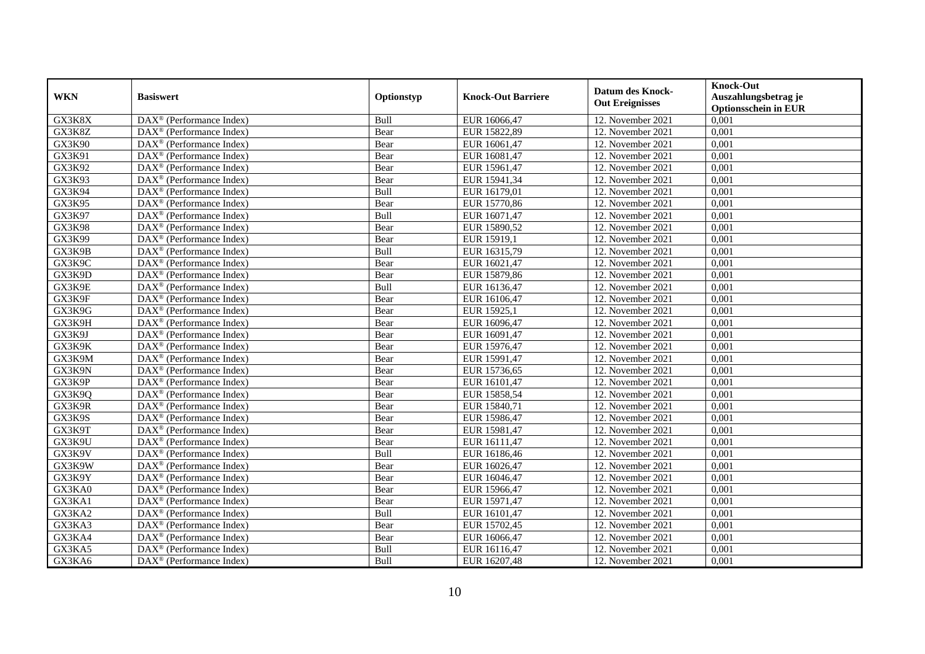| <b>WKN</b> | <b>Basiswert</b>                                        | Optionstyp | <b>Knock-Out Barriere</b> | <b>Datum des Knock-</b><br><b>Out Ereignisses</b> | <b>Knock-Out</b><br>Auszahlungsbetrag je<br><b>Optionsschein in EUR</b> |
|------------|---------------------------------------------------------|------------|---------------------------|---------------------------------------------------|-------------------------------------------------------------------------|
| GX3K8X     | DAX <sup>®</sup> (Performance Index)                    | Bull       | EUR 16066,47              | 12. November 2021                                 | 0,001                                                                   |
| GX3K8Z     | DAX <sup>®</sup> (Performance Index)                    | Bear       | EUR 15822,89              | 12. November 2021                                 | 0,001                                                                   |
| GX3K90     | $DAX^{\circledR}$ (Performance Index)                   | Bear       | EUR 16061,47              | 12. November 2021                                 | 0,001                                                                   |
| GX3K91     | $DAX^{\circledast}$ (Performance Index)                 | Bear       | EUR 16081,47              | 12. November 2021                                 | 0,001                                                                   |
| GX3K92     | DAX <sup>®</sup> (Performance Index)                    | Bear       | EUR 15961,47              | 12. November 2021                                 | 0,001                                                                   |
| GX3K93     | DAX <sup>®</sup> (Performance Index)                    | Bear       | EUR 15941,34              | 12. November 2021                                 | 0,001                                                                   |
| GX3K94     | $\overline{\text{DAX}^{\otimes}}$ (Performance Index)   | Bull       | EUR 16179,01              | 12. November 2021                                 | 0,001                                                                   |
| GX3K95     | $\overline{\text{DAX}}^{\textcirc}$ (Performance Index) | Bear       | EUR 15770,86              | 12. November 2021                                 | 0,001                                                                   |
| GX3K97     | DAX <sup>®</sup> (Performance Index)                    | Bull       | EUR 16071,47              | 12. November 2021                                 | 0,001                                                                   |
| GX3K98     | DAX <sup>®</sup> (Performance Index)                    | Bear       | EUR 15890,52              | 12. November 2021                                 | 0,001                                                                   |
| GX3K99     | $\overline{\text{DAX}^{\otimes}}$ (Performance Index)   | Bear       | EUR 15919,1               | 12. November 2021                                 | 0,001                                                                   |
| GX3K9B     | DAX <sup>®</sup> (Performance Index)                    | Bull       | EUR 16315,79              | 12. November 2021                                 | 0,001                                                                   |
| GX3K9C     | $\overline{\text{DAX}}^{\textcirc}$ (Performance Index) | Bear       | EUR 16021,47              | 12. November 2021                                 | 0,001                                                                   |
| GX3K9D     | $DAX^{\circledR}$ (Performance Index)                   | Bear       | EUR 15879,86              | 12. November 2021                                 | 0,001                                                                   |
| GX3K9E     | DAX <sup>®</sup> (Performance Index)                    | Bull       | EUR 16136,47              | 12. November 2021                                 | 0,001                                                                   |
| GX3K9F     | DAX <sup>®</sup> (Performance Index)                    | Bear       | EUR 16106,47              | 12. November 2021                                 | 0,001                                                                   |
| GX3K9G     | DAX <sup>®</sup> (Performance Index)                    | Bear       | EUR 15925,1               | 12. November 2021                                 | 0,001                                                                   |
| GX3K9H     | DAX <sup>®</sup> (Performance Index)                    | Bear       | EUR 16096,47              | 12. November 2021                                 | 0,001                                                                   |
| GX3K9J     | $\text{DAX}^{\otimes}$ (Performance Index)              | Bear       | EUR 16091,47              | 12. November 2021                                 | 0,001                                                                   |
| GX3K9K     | $\text{DAX}^{\otimes}$ (Performance Index)              | Bear       | EUR 15976,47              | 12. November 2021                                 | 0,001                                                                   |
| GX3K9M     | DAX <sup>®</sup> (Performance Index)                    | Bear       | EUR 15991,47              | 12. November 2021                                 | 0,001                                                                   |
| GX3K9N     | $DAX^{\circledcirc}$ (Performance Index)                | Bear       | EUR 15736,65              | 12. November 2021                                 | 0,001                                                                   |
| GX3K9P     | DAX <sup>®</sup> (Performance Index)                    | Bear       | EUR 16101,47              | 12. November 2021                                 | 0,001                                                                   |
| GX3K9Q     | $\overline{\text{DAX}^{\otimes}}$ (Performance Index)   | Bear       | EUR 15858,54              | 12. November 2021                                 | 0,001                                                                   |
| GX3K9R     | $DAX^{\circledast}$ (Performance Index)                 | Bear       | EUR 15840,71              | 12. November 2021                                 | 0,001                                                                   |
| GX3K9S     | DAX <sup>®</sup> (Performance Index)                    | Bear       | EUR 15986,47              | 12. November 2021                                 | 0,001                                                                   |
| GX3K9T     | DAX <sup>®</sup> (Performance Index)                    | Bear       | EUR 15981,47              | 12. November 2021                                 | 0,001                                                                   |
| GX3K9U     | DAX <sup>®</sup> (Performance Index)                    | Bear       | EUR 16111,47              | 12. November 2021                                 | 0,001                                                                   |
| GX3K9V     | $DAX^{\circledast}$ (Performance Index)                 | Bull       | EUR 16186,46              | 12. November 2021                                 | 0,001                                                                   |
| GX3K9W     | $DAX^{\circledast}$ (Performance Index)                 | Bear       | EUR 16026,47              | 12. November 2021                                 | 0,001                                                                   |
| GX3K9Y     | DAX <sup>®</sup> (Performance Index)                    | Bear       | EUR 16046,47              | 12. November 2021                                 | 0,001                                                                   |
| GX3KA0     | DAX <sup>®</sup> (Performance Index)                    | Bear       | EUR 15966,47              | 12. November 2021                                 | 0,001                                                                   |
| GX3KA1     | $DAX^{\circledast}$ (Performance Index)                 | Bear       | EUR 15971,47              | 12. November 2021                                 | 0,001                                                                   |
| GX3KA2     | $\overline{\text{DAX}^{\otimes}}$ (Performance Index)   | Bull       | EUR 16101,47              | 12. November 2021                                 | 0,001                                                                   |
| GX3KA3     | $\text{DAX}^{\otimes}$ (Performance Index)              | Bear       | EUR 15702,45              | 12. November 2021                                 | 0,001                                                                   |
| GX3KA4     | DAX <sup>®</sup> (Performance Index)                    | Bear       | EUR 16066,47              | 12. November 2021                                 | 0,001                                                                   |
| GX3KA5     | $DAX^{\circledast}$ (Performance Index)                 | Bull       | EUR 16116,47              | 12. November 2021                                 | 0,001                                                                   |
| GX3KA6     | DAX <sup>®</sup> (Performance Index)                    | Bull       | EUR 16207,48              | 12. November 2021                                 | 0,001                                                                   |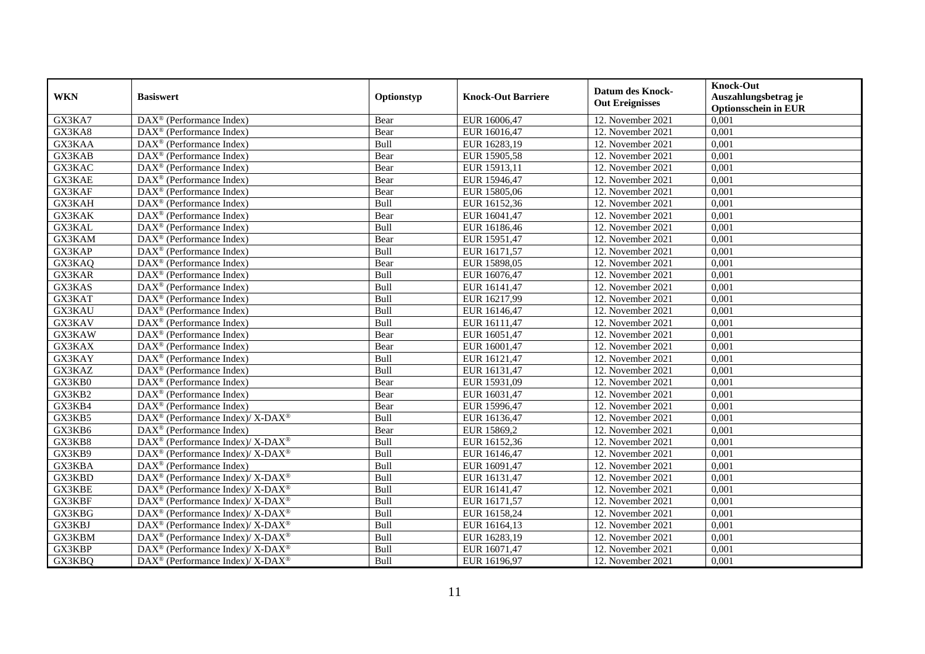| <b>WKN</b>    | <b>Basiswert</b>                                             | Optionstyp  | <b>Knock-Out Barriere</b> | <b>Datum des Knock-</b> | <b>Knock-Out</b><br>Auszahlungsbetrag je |
|---------------|--------------------------------------------------------------|-------------|---------------------------|-------------------------|------------------------------------------|
|               |                                                              |             |                           | <b>Out Ereignisses</b>  | <b>Optionsschein in EUR</b>              |
| GX3KA7        | $\overline{\text{DAX}}^{\textcircled{}}$ (Performance Index) | Bear        | EUR 16006,47              | 12. November 2021       | 0,001                                    |
| GX3KA8        | DAX <sup>®</sup> (Performance Index)                         | Bear        | EUR 16016,47              | 12. November 2021       | 0,001                                    |
| GX3KAA        | $DAX^{\circledR}$ (Performance Index)                        | Bull        | EUR 16283,19              | 12. November 2021       | 0,001                                    |
| GX3KAB        | $\text{DAX}^{\circledast}$ (Performance Index)               | Bear        | EUR 15905,58              | 12. November 2021       | 0,001                                    |
| GX3KAC        | $\text{DAX}^{\textcircled{}}$ (Performance Index)            | Bear        | EUR 15913,11              | 12. November 2021       | 0,001                                    |
| <b>GX3KAE</b> | $\text{DAX}^{\textcircled{}}$ (Performance Index)            | Bear        | EUR 15946,47              | 12. November 2021       | 0,001                                    |
| GX3KAF        | $\overline{\text{DAX}^{\otimes}}$ (Performance Index)        | Bear        | EUR 15805,06              | 12. November 2021       | 0,001                                    |
| GX3KAH        | $\text{DAX}^{\otimes}$ (Performance Index)                   | Bull        | EUR 16152,36              | 12. November 2021       | 0,001                                    |
| GX3KAK        | DAX <sup>®</sup> (Performance Index)                         | Bear        | EUR 16041,47              | 12. November 2021       | 0,001                                    |
| GX3KAL        | $\text{DAX}^{\circledast}$ (Performance Index)               | Bull        | EUR 16186,46              | 12. November 2021       | 0,001                                    |
| GX3KAM        | $\text{DAX}^{\circledast}$ (Performance Index)               | Bear        | EUR 15951,47              | 12. November 2021       | 0,001                                    |
| GX3KAP        | DAX <sup>®</sup> (Performance Index)                         | Bull        | EUR 16171,57              | 12. November 2021       | 0,001                                    |
| GX3KAQ        | DAX <sup>®</sup> (Performance Index)                         | Bear        | EUR 15898,05              | 12. November 2021       | 0,001                                    |
| GX3KAR        | $\text{DAX}^{\textcircled{}}$ (Performance Index)            | Bull        | EUR 16076,47              | 12. November 2021       | 0,001                                    |
| GX3KAS        | DAX <sup>®</sup> (Performance Index)                         | Bull        | EUR 16141,47              | 12. November 2021       | 0,001                                    |
| GX3KAT        | DAX <sup>®</sup> (Performance Index)                         | Bull        | EUR 16217,99              | 12. November 2021       | 0,001                                    |
| GX3KAU        | DAX <sup>®</sup> (Performance Index)                         | Bull        | EUR 16146,47              | 12. November 2021       | 0,001                                    |
| GX3KAV        | $DAX^{\circledR}$ (Performance Index)                        | <b>Bull</b> | EUR 16111,47              | 12. November 2021       | 0.001                                    |
| GX3KAW        | DAX <sup>®</sup> (Performance Index)                         | Bear        | EUR 16051,47              | 12. November 2021       | 0,001                                    |
| GX3KAX        | $\overline{\text{DAX}^{\otimes}}$ (Performance Index)        | Bear        | EUR 16001,47              | 12. November 2021       | 0,001                                    |
| GX3KAY        | DAX <sup>®</sup> (Performance Index)                         | Bull        | EUR 16121,47              | 12. November 2021       | 0,001                                    |
| GX3KAZ        | $\overline{\text{DAX}^{\otimes}}$ (Performance Index)        | Bull        | EUR 16131,47              | 12. November 2021       | 0,001                                    |
| GX3KB0        | DAX <sup>®</sup> (Performance Index)                         | Bear        | EUR 15931,09              | 12. November 2021       | 0,001                                    |
| GX3KB2        | $\text{DAX}^{\circledast}$ (Performance Index)               | Bear        | EUR 16031,47              | 12. November 2021       | 0,001                                    |
| GX3KB4        | DAX <sup>®</sup> (Performance Index)                         | Bear        | EUR 15996,47              | 12. November 2021       | 0.001                                    |
| GX3KB5        | DAX <sup>®</sup> (Performance Index)/ X-DAX <sup>®</sup>     | Bull        | EUR 16136,47              | 12. November 2021       | 0,001                                    |
| GX3KB6        | DAX <sup>®</sup> (Performance Index)                         | Bear        | EUR 15869,2               | 12. November 2021       | 0,001                                    |
| GX3KB8        | DAX <sup>®</sup> (Performance Index)/ X-DAX <sup>®</sup>     | Bull        | EUR 16152,36              | 12. November 2021       | 0,001                                    |
| GX3KB9        | DAX <sup>®</sup> (Performance Index)/ X-DAX <sup>®</sup>     | Bull        | EUR 16146,47              | 12. November 2021       | 0,001                                    |
| GX3KBA        | $\text{DAX}^{\circledast}$ (Performance Index)               | Bull        | EUR 16091,47              | 12. November 2021       | 0,001                                    |
| GX3KBD        | DAX <sup>®</sup> (Performance Index)/ X-DAX <sup>®</sup>     | Bull        | EUR 16131,47              | 12. November 2021       | 0,001                                    |
| GX3KBE        | DAX <sup>®</sup> (Performance Index)/X-DAX <sup>®</sup>      | Bull        | EUR 16141,47              | 12. November 2021       | 0.001                                    |
| GX3KBF        | DAX <sup>®</sup> (Performance Index)/ X-DAX <sup>®</sup>     | Bull        | EUR 16171,57              | 12. November 2021       | 0,001                                    |
| GX3KBG        | DAX <sup>®</sup> (Performance Index)/ X-DAX <sup>®</sup>     | Bull        | EUR 16158,24              | 12. November 2021       | 0,001                                    |
| GX3KBJ        | DAX <sup>®</sup> (Performance Index)/ X-DAX <sup>®</sup>     | Bull        | EUR 16164,13              | 12. November 2021       | 0,001                                    |
| GX3KBM        | $DAX^{\circledast}$ (Performance Index)/X-DAX <sup>®</sup>   | Bull        | EUR 16283,19              | 12. November 2021       | 0,001                                    |
| GX3KBP        | DAX <sup>®</sup> (Performance Index)/ X-DAX <sup>®</sup>     | Bull        | EUR 16071,47              | 12. November 2021       | 0,001                                    |
| GX3KBQ        | DAX <sup>®</sup> (Performance Index)/X-DAX <sup>®</sup>      | Bull        | EUR 16196,97              | 12. November 2021       | 0,001                                    |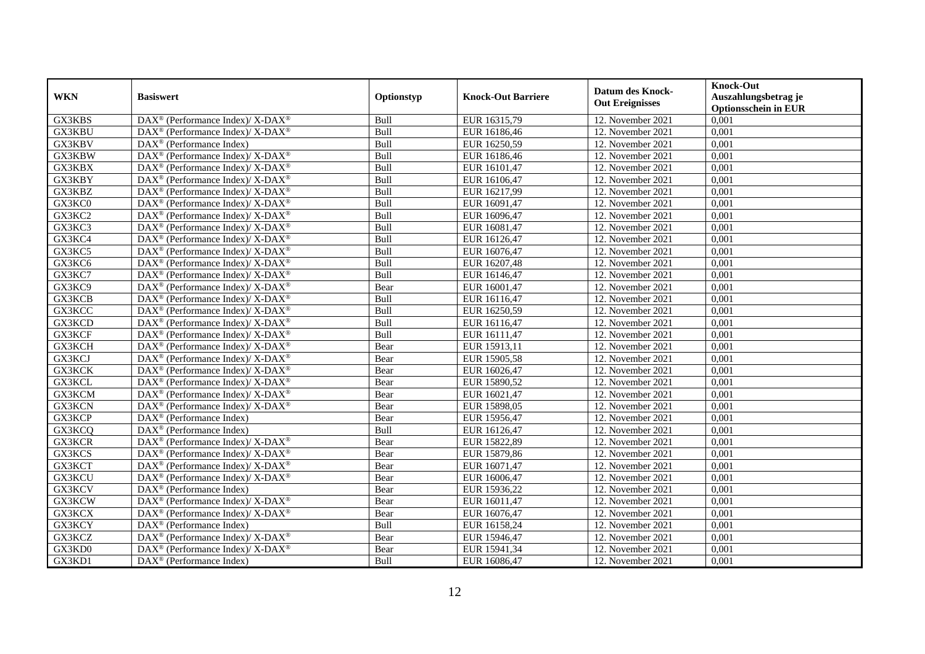| <b>WKN</b>    | <b>Basiswert</b>                                                         | Optionstyp | <b>Knock-Out Barriere</b> | <b>Datum des Knock-</b><br><b>Out Ereignisses</b> | <b>Knock-Out</b><br>Auszahlungsbetrag je<br><b>Optionsschein in EUR</b> |
|---------------|--------------------------------------------------------------------------|------------|---------------------------|---------------------------------------------------|-------------------------------------------------------------------------|
| GX3KBS        | DAX <sup>®</sup> (Performance Index)/ X-DAX <sup>®</sup>                 | Bull       | EUR 16315,79              | 12. November 2021                                 | 0,001                                                                   |
| GX3KBU        | DAX <sup>®</sup> (Performance Index)/ X-DAX <sup>®</sup>                 | Bull       | EUR 16186,46              | 12. November 2021                                 | 0,001                                                                   |
| GX3KBV        | $DAX^{\circledR}$ (Performance Index)                                    | Bull       | EUR 16250,59              | 12. November 2021                                 | 0,001                                                                   |
| GX3KBW        | DAX <sup>®</sup> (Performance Index)/ X-DAX <sup>®</sup>                 | Bull       | EUR 16186,46              | 12. November 2021                                 | 0,001                                                                   |
| GX3KBX        | DAX <sup>®</sup> (Performance Index)/ X-DAX <sup>®</sup>                 | Bull       | EUR 16101,47              | 12. November 2021                                 | 0,001                                                                   |
| GX3KBY        | $\overline{\text{DAX}^{\otimes}}$ (Performance Index)/X-DAX <sup>®</sup> | Bull       | EUR 16106,47              | 12. November 2021                                 | 0,001                                                                   |
| GX3KBZ        | DAX <sup>®</sup> (Performance Index)/ X-DAX <sup>®</sup>                 | Bull       | EUR 16217,99              | 12. November 2021                                 | 0,001                                                                   |
| GX3KC0        | DAX <sup>®</sup> (Performance Index)/X-DAX <sup>®</sup>                  | Bull       | EUR 16091,47              | 12. November 2021                                 | 0,001                                                                   |
| GX3KC2        | DAX <sup>®</sup> (Performance Index)/ X-DAX <sup>®</sup>                 | Bull       | EUR 16096,47              | 12. November 2021                                 | 0,001                                                                   |
| GX3KC3        | DAX <sup>®</sup> (Performance Index)/X-DAX <sup>®</sup>                  | Bull       | EUR 16081,47              | 12. November 2021                                 | 0,001                                                                   |
| GX3KC4        | $\overline{\text{DAX}^{\otimes}}$ (Performance Index)/X-DAX <sup>®</sup> | Bull       | EUR 16126,47              | 12. November 2021                                 | 0,001                                                                   |
| GX3KC5        | DAX <sup>®</sup> (Performance Index)/X-DAX <sup>®</sup>                  | Bull       | EUR 16076,47              | 12. November 2021                                 | 0,001                                                                   |
| GX3KC6        | DAX <sup>®</sup> (Performance Index)/X-DAX <sup>®</sup>                  | Bull       | EUR 16207,48              | 12. November 2021                                 | 0,001                                                                   |
| GX3KC7        | $DAX^{\circledcirc}$ (Performance Index)/ X-DAX <sup>®</sup>             | Bull       | EUR 16146.47              | 12. November 2021                                 | 0.001                                                                   |
| GX3KC9        | DAX <sup>®</sup> (Performance Index)/ X-DAX <sup>®</sup>                 | Bear       | EUR 16001,47              | 12. November 2021                                 | 0,001                                                                   |
| GX3KCB        | DAX <sup>®</sup> (Performance Index)/X-DAX <sup>®</sup>                  | Bull       | EUR 16116,47              | 12. November 2021                                 | 0,001                                                                   |
| GX3KCC        | DAX <sup>®</sup> (Performance Index)/ X-DAX <sup>®</sup>                 | Bull       | EUR 16250,59              | 12. November 2021                                 | 0,001                                                                   |
| GX3KCD        | DAX <sup>®</sup> (Performance Index)/X-DAX <sup>®</sup>                  | Bull       | EUR 16116,47              | 12. November 2021                                 | 0,001                                                                   |
| GX3KCF        | $DAX^{\circledast}$ (Performance Index)/X-DAX <sup>®</sup>               | Bull       | EUR 16111,47              | 12. November 2021                                 | 0,001                                                                   |
| GX3KCH        | DAX <sup>®</sup> (Performance Index)/ X-DAX <sup>®</sup>                 | Bear       | EUR 15913,11              | 12. November 2021                                 | 0,001                                                                   |
| GX3KCJ        | DAX <sup>®</sup> (Performance Index)/ X-DAX <sup>®</sup>                 | Bear       | EUR 15905,58              | 12. November 2021                                 | 0,001                                                                   |
| GX3KCK        | $DAX^{\circledcirc}$ (Performance Index)/ X-DAX <sup>®</sup>             | Bear       | EUR 16026,47              | 12. November 2021                                 | 0,001                                                                   |
| GX3KCL        | DAX <sup>®</sup> (Performance Index)/ X-DAX <sup>®</sup>                 | Bear       | EUR 15890,52              | 12. November 2021                                 | 0,001                                                                   |
| GX3KCM        | DAX <sup>®</sup> (Performance Index)/ X-DAX <sup>®</sup>                 | Bear       | EUR 16021,47              | 12. November 2021                                 | 0,001                                                                   |
| GX3KCN        | $DAX^{\circledcirc}$ (Performance Index)/ X-DAX <sup>®</sup>             | Bear       | EUR 15898,05              | 12. November 2021                                 | 0,001                                                                   |
| GX3KCP        | DAX <sup>®</sup> (Performance Index)                                     | Bear       | EUR 15956,47              | 12. November 2021                                 | 0,001                                                                   |
| GX3KCQ        | $\text{DAX}^{\otimes}$ (Performance Index)                               | Bull       | EUR 16126,47              | 12. November 2021                                 | 0,001                                                                   |
| GX3KCR        | DAX <sup>®</sup> (Performance Index)/ X-DAX <sup>®</sup>                 | Bear       | EUR 15822,89              | 12. November 2021                                 | 0,001                                                                   |
| GX3KCS        | DAX <sup>®</sup> (Performance Index)/X-DAX <sup>®</sup>                  | Bear       | EUR 15879,86              | 12. November 2021                                 | 0,001                                                                   |
| GX3KCT        | $DAX^{\circledast}$ (Performance Index)/X-DAX <sup>®</sup>               | Bear       | EUR 16071,47              | 12. November 2021                                 | 0,001                                                                   |
| GX3KCU        | DAX <sup>®</sup> (Performance Index)/ X-DAX <sup>®</sup>                 | Bear       | EUR 16006,47              | 12. November 2021                                 | 0,001                                                                   |
| GX3KCV        | DAX <sup>®</sup> (Performance Index)                                     | Bear       | EUR 15936,22              | 12. November 2021                                 | 0,001                                                                   |
| <b>GX3KCW</b> | DAX <sup>®</sup> (Performance Index)/X-DAX <sup>®</sup>                  | Bear       | EUR 16011,47              | 12. November 2021                                 | 0,001                                                                   |
| GX3KCX        | DAX <sup>®</sup> (Performance Index)/ X-DAX <sup>®</sup>                 | Bear       | EUR 16076,47              | 12. November 2021                                 | 0,001                                                                   |
| GX3KCY        | $\text{DAX}^{\circledast}$ (Performance Index)                           | Bull       | EUR 16158,24              | 12. November 2021                                 | 0,001                                                                   |
| GX3KCZ        | DAX <sup>®</sup> (Performance Index)/ X-DAX <sup>®</sup>                 | Bear       | EUR 15946,47              | 12. November 2021                                 | 0,001                                                                   |
| GX3KD0        | DAX <sup>®</sup> (Performance Index)/X-DAX <sup>®</sup>                  | Bear       | EUR 15941,34              | 12. November 2021                                 | 0,001                                                                   |
| GX3KD1        | $\text{DAX}^{\otimes}$ (Performance Index)                               | Bull       | EUR 16086,47              | 12. November 2021                                 | 0,001                                                                   |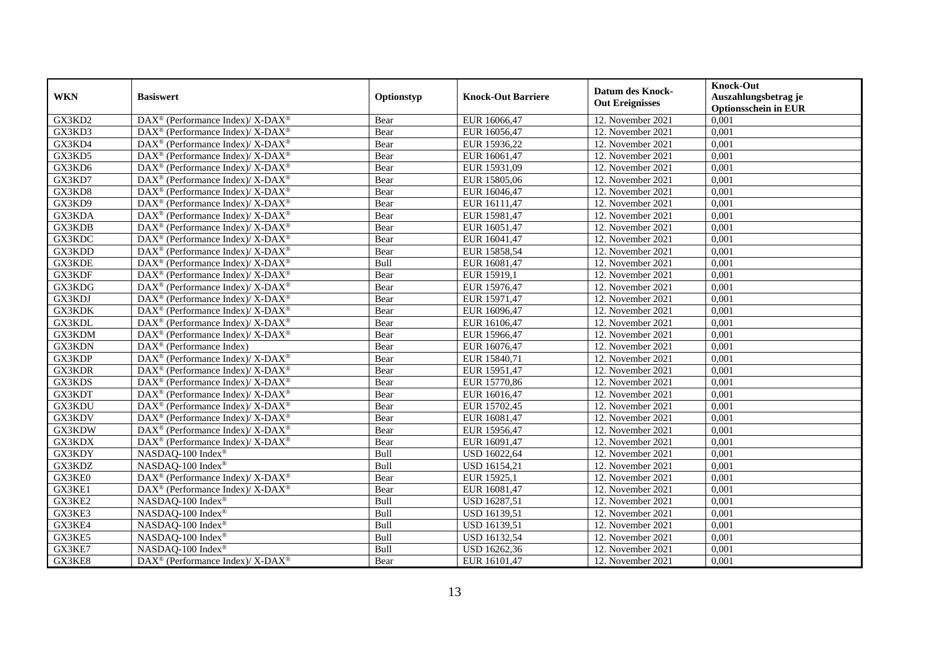| <b>WKN</b> | <b>Basiswert</b>                                                         | Optionstyp | <b>Knock-Out Barriere</b> | <b>Datum des Knock-</b> | <b>Knock-Out</b><br>Auszahlungsbetrag je |
|------------|--------------------------------------------------------------------------|------------|---------------------------|-------------------------|------------------------------------------|
|            |                                                                          |            |                           | <b>Out Ereignisses</b>  | <b>Optionsschein in EUR</b>              |
| GX3KD2     | DAX <sup>®</sup> (Performance Index)/ X-DAX <sup>®</sup>                 | Bear       | EUR 16066,47              | 12. November 2021       | 0,001                                    |
| GX3KD3     | DAX <sup>®</sup> (Performance Index)/ X-DAX <sup>®</sup>                 | Bear       | EUR 16056,47              | 12. November 2021       | 0,001                                    |
| GX3KD4     | DAX <sup>®</sup> (Performance Index)/X-DAX <sup>®</sup>                  | Bear       | EUR 15936,22              | 12. November 2021       | 0,001                                    |
| GX3KD5     | DAX <sup>®</sup> (Performance Index)/X-DAX <sup>®</sup>                  | Bear       | EUR 16061,47              | 12. November 2021       | 0,001                                    |
| GX3KD6     | DAX <sup>®</sup> (Performance Index)/ X-DAX <sup>®</sup>                 | Bear       | EUR 15931,09              | 12. November 2021       | 0,001                                    |
| GX3KD7     | DAX <sup>®</sup> (Performance Index)/ X-DAX <sup>®</sup>                 | Bear       | EUR 15805,06              | 12. November 2021       | 0,001                                    |
| GX3KD8     | $\overline{\text{DAX}^{\otimes}}$ (Performance Index)/X-DAX <sup>®</sup> | Bear       | EUR 16046,47              | 12. November 2021       | 0,001                                    |
| GX3KD9     | DAX <sup>®</sup> (Performance Index)/X-DAX <sup>®</sup>                  | Bear       | EUR 16111,47              | 12. November 2021       | 0,001                                    |
| GX3KDA     | DAX <sup>®</sup> (Performance Index)/X-DAX <sup>®</sup>                  | Bear       | EUR 15981,47              | 12. November 2021       | 0,001                                    |
| GX3KDB     | DAX <sup>®</sup> (Performance Index)/X-DAX <sup>®</sup>                  | Bear       | EUR 16051,47              | 12. November 2021       | 0,001                                    |
| GX3KDC     | DAX <sup>®</sup> (Performance Index)/X-DAX <sup>®</sup>                  | Bear       | EUR 16041,47              | 12. November 2021       | 0,001                                    |
| GX3KDD     | DAX <sup>®</sup> (Performance Index)/ X-DAX <sup>®</sup>                 | Bear       | EUR 15858,54              | 12. November 2021       | 0,001                                    |
| GX3KDE     | DAX <sup>®</sup> (Performance Index)/X-DAX <sup>®</sup>                  | Bull       | EUR 16081,47              | 12. November 2021       | 0,001                                    |
| GX3KDF     | DAX <sup>®</sup> (Performance Index)/X-DAX <sup>®</sup>                  | Bear       | EUR 15919,1               | 12. November 2021       | 0,001                                    |
| GX3KDG     | DAX <sup>®</sup> (Performance Index)/X-DAX <sup>®</sup>                  | Bear       | EUR 15976,47              | 12. November 2021       | 0,001                                    |
| GX3KDJ     | DAX <sup>®</sup> (Performance Index)/ X-DAX <sup>®</sup>                 | Bear       | EUR 15971,47              | 12. November 2021       | 0,001                                    |
| GX3KDK     | DAX <sup>®</sup> (Performance Index)/X-DAX <sup>®</sup>                  | Bear       | EUR 16096,47              | 12. November 2021       | 0,001                                    |
| GX3KDL     | $DAX^{\circledcirc}$ (Performance Index)/ X-DAX <sup>®</sup>             | Bear       | EUR 16106,47              | 12. November 2021       | 0.001                                    |
| GX3KDM     | DAX <sup>®</sup> (Performance Index)/ X-DAX <sup>®</sup>                 | Bear       | EUR 15966,47              | 12. November 2021       | 0,001                                    |
| GX3KDN     | DAX <sup>®</sup> (Performance Index)                                     | Bear       | EUR 16076,47              | 12. November 2021       | 0,001                                    |
| GX3KDP     | DAX <sup>®</sup> (Performance Index)/ X-DAX <sup>®</sup>                 | Bear       | EUR 15840,71              | 12. November 2021       | 0,001                                    |
| GX3KDR     | DAX <sup>®</sup> (Performance Index)/ X-DAX <sup>®</sup>                 | Bear       | EUR 15951,47              | 12. November 2021       | 0,001                                    |
| GX3KDS     | $\overline{\text{DAX}^{\otimes}}$ (Performance Index)/X-DAX <sup>®</sup> | Bear       | EUR 15770,86              | 12. November 2021       | 0,001                                    |
| GX3KDT     | DAX <sup>®</sup> (Performance Index)/ X-DAX <sup>®</sup>                 | Bear       | EUR 16016,47              | 12. November 2021       | 0,001                                    |
| GX3KDU     | $\overline{\text{DAX}^{\otimes}}$ (Performance Index)/X-DAX <sup>®</sup> | Bear       | EUR 15702,45              | 12. November 2021       | 0.001                                    |
| GX3KDV     | DAX <sup>®</sup> (Performance Index)/X-DAX <sup>®</sup>                  | Bear       | EUR 16081,47              | 12. November 2021       | 0,001                                    |
| GX3KDW     | DAX <sup>®</sup> (Performance Index)/ X-DAX <sup>®</sup>                 | Bear       | EUR 15956,47              | 12. November 2021       | 0,001                                    |
| GX3KDX     | DAX <sup>®</sup> (Performance Index)/ X-DAX <sup>®</sup>                 | Bear       | EUR 16091,47              | 12. November 2021       | 0,001                                    |
| GX3KDY     | NASDAQ-100 Index®                                                        | Bull       | USD 16022,64              | 12. November 2021       | 0,001                                    |
| GX3KDZ     | NASDAQ-100 Index®                                                        | Bull       | USD 16154,21              | 12. November 2021       | 0,001                                    |
| GX3KE0     | DAX <sup>®</sup> (Performance Index)/ X-DAX <sup>®</sup>                 | Bear       | EUR 15925,1               | 12. November 2021       | 0,001                                    |
| GX3KE1     | DAX <sup>®</sup> (Performance Index)/X-DAX <sup>®</sup>                  | Bear       | EUR 16081,47              | 12. November 2021       | 0,001                                    |
| GX3KE2     | NASDAQ-100 Index®                                                        | Bull       | USD 16287,51              | 12. November 2021       | 0,001                                    |
| GX3KE3     | NASDAQ-100 Index®                                                        | Bull       | USD 16139,51              | 12. November 2021       | 0,001                                    |
| GX3KE4     | NASDAQ-100 Index®                                                        | Bull       | USD 16139,51              | 12. November 2021       | 0,001                                    |
| GX3KE5     | NASDAQ-100 Index®                                                        | Bull       | USD 16132,54              | 12. November 2021       | 0,001                                    |
| GX3KE7     | NASDAQ-100 Index®                                                        | Bull       | USD 16262,36              | 12. November 2021       | 0,001                                    |
| GX3KE8     | DAX <sup>®</sup> (Performance Index)/ X-DAX <sup>®</sup>                 | Bear       | EUR 16101,47              | 12. November 2021       | 0,001                                    |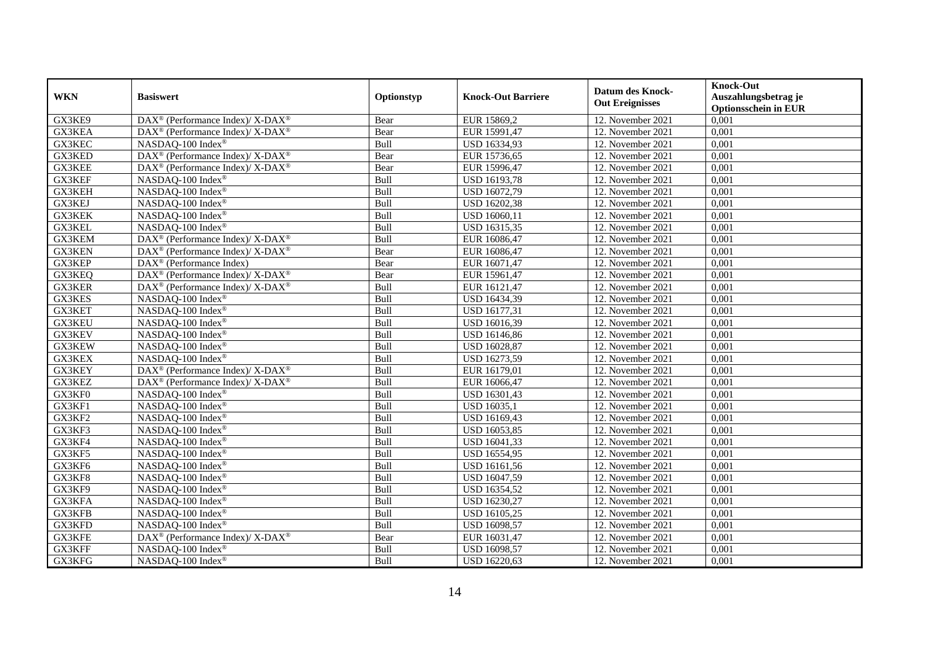| <b>WKN</b>    | <b>Basiswert</b>                                         | Optionstyp | <b>Knock-Out Barriere</b> | <b>Datum des Knock-</b><br><b>Out Ereignisses</b> | <b>Knock-Out</b><br>Auszahlungsbetrag je<br><b>Optionsschein in EUR</b> |
|---------------|----------------------------------------------------------|------------|---------------------------|---------------------------------------------------|-------------------------------------------------------------------------|
| GX3KE9        | DAX <sup>®</sup> (Performance Index)/ X-DAX <sup>®</sup> | Bear       | EUR 15869,2               | 12. November 2021                                 | 0,001                                                                   |
| GX3KEA        | DAX <sup>®</sup> (Performance Index)/ X-DAX <sup>®</sup> | Bear       | EUR 15991,47              | 12. November 2021                                 | 0,001                                                                   |
| GX3KEC        | NASDAQ-100 Index®                                        | Bull       | USD 16334,93              | 12. November 2021                                 | 0,001                                                                   |
| GX3KED        | DAX <sup>®</sup> (Performance Index)/ X-DAX <sup>®</sup> | Bear       | EUR 15736,65              | 12. November 2021                                 | 0,001                                                                   |
| GX3KEE        | DAX <sup>®</sup> (Performance Index)/ X-DAX <sup>®</sup> | Bear       | EUR 15996,47              | 12. November 2021                                 | 0,001                                                                   |
| GX3KEF        | NASDAQ-100 Index®                                        | Bull       | <b>USD 16193,78</b>       | 12. November 2021                                 | 0,001                                                                   |
| GX3KEH        | NASDAQ-100 Index®                                        | Bull       | USD 16072,79              | 12. November 2021                                 | 0,001                                                                   |
| GX3KEJ        | NASDAQ-100 Index®                                        | Bull       | USD 16202,38              | 12. November 2021                                 | 0,001                                                                   |
| GX3KEK        | NASDAQ-100 Index®                                        | Bull       | USD 16060,11              | 12. November 2021                                 | 0,001                                                                   |
| GX3KEL        | NASDAQ-100 Index®                                        | Bull       | USD 16315,35              | 12. November 2021                                 | 0,001                                                                   |
| GX3KEM        | DAX <sup>®</sup> (Performance Index)/ X-DAX <sup>®</sup> | Bull       | EUR 16086,47              | 12. November 2021                                 | 0,001                                                                   |
| <b>GX3KEN</b> | DAX <sup>®</sup> (Performance Index)/X-DAX <sup>®</sup>  | Bear       | EUR 16086,47              | 12. November 2021                                 | 0,001                                                                   |
| GX3KEP        | $\overline{\text{DAX}^{\otimes}}$ (Performance Index)    | Bear       | EUR 16071,47              | 12. November 2021                                 | 0,001                                                                   |
| GX3KEQ        | DAX <sup>®</sup> (Performance Index)/ X-DAX <sup>®</sup> | Bear       | EUR 15961,47              | 12. November 2021                                 | 0,001                                                                   |
| <b>GX3KER</b> | DAX <sup>®</sup> (Performance Index)/ X-DAX <sup>®</sup> | Bull       | EUR 16121,47              | 12. November 2021                                 | 0,001                                                                   |
| GX3KES        | NASDAQ-100 Index®                                        | Bull       | USD 16434,39              | 12. November 2021                                 | 0,001                                                                   |
| GX3KET        | NASDAQ-100 Index®                                        | Bull       | USD 16177,31              | 12. November 2021                                 | 0,001                                                                   |
| GX3KEU        | NASDAQ-100 Index®                                        | Bull       | USD 16016,39              | 12. November 2021                                 | 0,001                                                                   |
| GX3KEV        | NASDAQ-100 Index®                                        | Bull       | USD 16146,86              | 12. November 2021                                 | 0,001                                                                   |
| GX3KEW        | NASDAQ-100 Index®                                        | Bull       | USD 16028,87              | 12. November 2021                                 | 0,001                                                                   |
| <b>GX3KEX</b> | NASDAQ-100 Index®                                        | Bull       | USD 16273,59              | 12. November 2021                                 | 0,001                                                                   |
| GX3KEY        | DAX <sup>®</sup> (Performance Index)/ X-DAX <sup>®</sup> | Bull       | EUR 16179,01              | 12. November 2021                                 | 0,001                                                                   |
| GX3KEZ        | DAX <sup>®</sup> (Performance Index)/ X-DAX <sup>®</sup> | Bull       | EUR 16066,47              | 12. November 2021                                 | 0,001                                                                   |
| GX3KF0        | NASDAQ-100 Index®                                        | Bull       | USD 16301,43              | 12. November 2021                                 | 0,001                                                                   |
| GX3KF1        | NASDAQ-100 Index®                                        | Bull       | USD 16035,1               | 12. November 2021                                 | 0,001                                                                   |
| GX3KF2        | NASDAQ-100 Index®                                        | Bull       | USD 16169,43              | 12. November 2021                                 | 0,001                                                                   |
| GX3KF3        | NASDAQ-100 Index®                                        | Bull       | USD 16053,85              | 12. November 2021                                 | 0,001                                                                   |
| GX3KF4        | NASDAQ-100 Index <sup>®</sup>                            | Bull       | USD 16041,33              | 12. November 2021                                 | 0.001                                                                   |
| GX3KF5        | NASDAQ-100 Index®                                        | Bull       | <b>USD 16554,95</b>       | 12. November 2021                                 | 0,001                                                                   |
| GX3KF6        | NASDAQ-100 Index®                                        | Bull       | USD 16161,56              | 12. November 2021                                 | 0,001                                                                   |
| GX3KF8        | NASDAQ-100 Index®                                        | Bull       | USD 16047,59              | 12. November 2021                                 | 0,001                                                                   |
| GX3KF9        | NASDAQ-100 Index®                                        | Bull       | USD 16354,52              | 12. November 2021                                 | 0,001                                                                   |
| GX3KFA        | NASDAQ-100 Index®                                        | Bull       | USD 16230,27              | 12. November 2021                                 | 0,001                                                                   |
| GX3KFB        | NASDAQ-100 Index®                                        | Bull       | <b>USD 16105,25</b>       | 12. November 2021                                 | 0,001                                                                   |
| GX3KFD        | NASDAQ-100 Index®                                        | Bull       | USD 16098,57              | 12. November 2021                                 | 0,001                                                                   |
| GX3KFE        | DAX <sup>®</sup> (Performance Index)/ X-DAX <sup>®</sup> | Bear       | EUR 16031,47              | 12. November 2021                                 | 0,001                                                                   |
| GX3KFF        | NASDAQ-100 Index®                                        | Bull       | USD 16098,57              | 12. November 2021                                 | 0,001                                                                   |
| GX3KFG        | NASDAQ-100 Index®                                        | Bull       | USD 16220,63              | 12. November 2021                                 | 0,001                                                                   |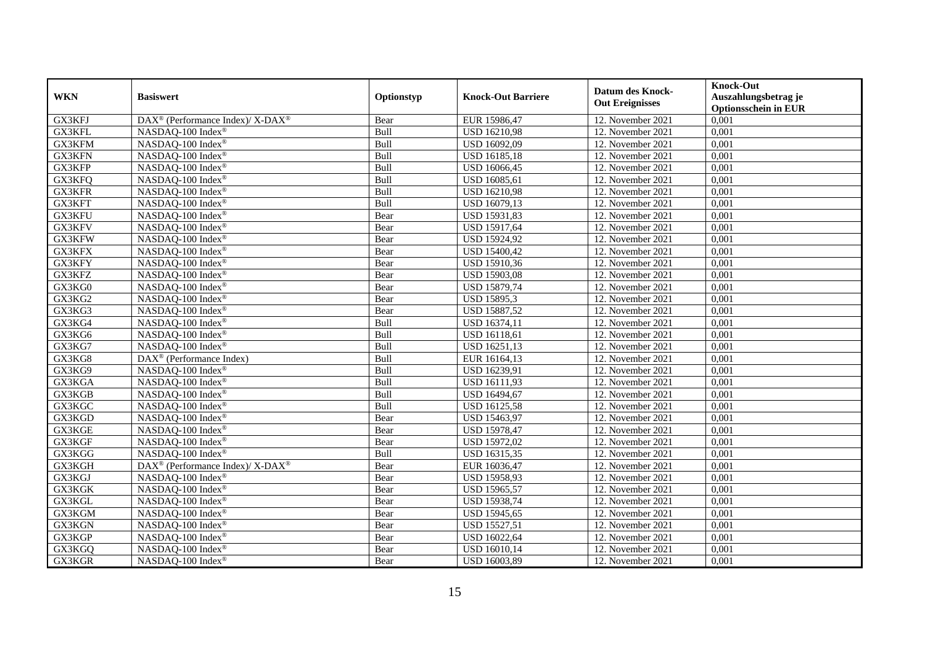| <b>WKN</b> | <b>Basiswert</b>                                         | Optionstyp | <b>Knock-Out Barriere</b> | <b>Datum des Knock-</b><br><b>Out Ereignisses</b> | <b>Knock-Out</b><br>Auszahlungsbetrag je<br><b>Optionsschein in EUR</b> |
|------------|----------------------------------------------------------|------------|---------------------------|---------------------------------------------------|-------------------------------------------------------------------------|
| GX3KFJ     | DAX <sup>®</sup> (Performance Index)/ X-DAX <sup>®</sup> | Bear       | EUR 15986,47              | 12. November 2021                                 | 0,001                                                                   |
| GX3KFL     | NASDAQ-100 Index®                                        | Bull       | USD 16210,98              | 12. November 2021                                 | 0,001                                                                   |
| GX3KFM     | NASDAQ-100 Index®                                        | Bull       | USD 16092,09              | 12. November $2021$                               | 0,001                                                                   |
| GX3KFN     | NASDAQ-100 Index®                                        | Bull       | <b>USD 16185,18</b>       | 12. November 2021                                 | 0,001                                                                   |
| GX3KFP     | NASDAQ-100 Index®                                        | Bull       | USD 16066,45              | 12. November 2021                                 | 0,001                                                                   |
| GX3KFQ     | NASDAQ-100 Index®                                        | Bull       | USD 16085,61              | 12. November 2021                                 | 0,001                                                                   |
| GX3KFR     | NASDAQ-100 Index®                                        | Bull       | <b>USD 16210,98</b>       | 12. November 2021                                 | 0,001                                                                   |
| GX3KFT     | NASDAQ-100 Index®                                        | Bull       | USD 16079,13              | 12. November 2021                                 | 0,001                                                                   |
| GX3KFU     | NASDAQ-100 Index®                                        | Bear       | USD 15931,83              | 12. November 2021                                 | 0,001                                                                   |
| GX3KFV     | NASDAQ-100 Index®                                        | Bear       | USD 15917,64              | 12. November 2021                                 | 0,001                                                                   |
| GX3KFW     | NASDAQ-100 Index®                                        | Bear       | USD 15924,92              | 12. November 2021                                 | 0,001                                                                   |
| GX3KFX     | NASDAQ-100 Index®                                        | Bear       | USD 15400,42              | 12. November 2021                                 | 0,001                                                                   |
| GX3KFY     | NASDAQ-100 Index®                                        | Bear       | USD 15910,36              | 12. November 2021                                 | 0,001                                                                   |
| GX3KFZ     | NASDAQ-100 Index®                                        | Bear       | <b>USD 15903,08</b>       | 12. November 2021                                 | 0,001                                                                   |
| GX3KG0     | NASDAQ-100 Index®                                        | Bear       | USD 15879,74              | 12. November 2021                                 | 0,001                                                                   |
| GX3KG2     | NASDAQ-100 Index®                                        | Bear       | <b>USD 15895,3</b>        | 12. November 2021                                 | 0,001                                                                   |
| GX3KG3     | NASDAQ-100 Index®                                        | Bear       | USD 15887,52              | 12. November 2021                                 | 0,001                                                                   |
| GX3KG4     | NASDAQ-100 Index®                                        | Bull       | USD 16374,11              | 12. November 2021                                 | 0,001                                                                   |
| GX3KG6     | NASDAQ-100 Index®                                        | Bull       | USD 16118,61              | 12. November 2021                                 | 0,001                                                                   |
| GX3KG7     | NASDAQ-100 Index®                                        | Bull       | USD 16251,13              | 12. November 2021                                 | 0,001                                                                   |
| GX3KG8     | DAX <sup>®</sup> (Performance Index)                     | Bull       | EUR 16164,13              | 12. November 2021                                 | 0,001                                                                   |
| GX3KG9     | NASDAQ-100 Index®                                        | Bull       | USD 16239,91              | 12. November 2021                                 | 0,001                                                                   |
| GX3KGA     | NASDAQ-100 Index®                                        | Bull       | USD 16111,93              | 12. November 2021                                 | 0,001                                                                   |
| GX3KGB     | NASDAQ-100 Index®                                        | Bull       | USD 16494,67              | 12. November 2021                                 | 0,001                                                                   |
| GX3KGC     | NASDAQ-100 Index®                                        | Bull       | <b>USD 16125,58</b>       | 12. November 2021                                 | 0,001                                                                   |
| GX3KGD     | NASDAQ-100 Index®                                        | Bear       | USD 15463,97              | 12. November 2021                                 | 0,001                                                                   |
| GX3KGE     | NASDAQ-100 Index®                                        | Bear       | USD 15978,47              | 12. November 2021                                 | 0,001                                                                   |
| GX3KGF     | NASDAQ-100 Index®                                        | Bear       | <b>USD 15972,02</b>       | 12. November 2021                                 | 0,001                                                                   |
| GX3KGG     | NASDAQ-100 Index®                                        | Bull       | USD 16315,35              | 12. November 2021                                 | 0,001                                                                   |
| GX3KGH     | DAX <sup>®</sup> (Performance Index)/X-DAX <sup>®</sup>  | Bear       | EUR 16036,47              | 12. November 2021                                 | 0,001                                                                   |
| GX3KGJ     | NASDAQ-100 Index®                                        | Bear       | USD 15958,93              | 12. November 2021                                 | 0,001                                                                   |
| GX3KGK     | NASDAQ-100 Index®                                        | Bear       | USD 15965,57              | 12. November 2021                                 | 0,001                                                                   |
| GX3KGL     | NASDAQ-100 Index®                                        | Bear       | USD 15938,74              | 12. November 2021                                 | 0,001                                                                   |
| GX3KGM     | NASDAQ-100 Index®                                        | Bear       | USD 15945,65              | 12. November 2021                                 | 0,001                                                                   |
| GX3KGN     | NASDAQ-100 Index®                                        | Bear       | <b>USD 15527,51</b>       | 12. November 2021                                 | 0,001                                                                   |
| GX3KGP     | NASDAQ-100 Index®                                        | Bear       | USD 16022,64              | 12. November 2021                                 | 0,001                                                                   |
| GX3KGQ     | NASDAQ-100 Index <sup>®</sup>                            | Bear       | USD 16010,14              | 12. November 2021                                 | 0,001                                                                   |
| GX3KGR     | NASDAQ-100 Index®                                        | Bear       | USD 16003,89              | 12. November 2021                                 | 0,001                                                                   |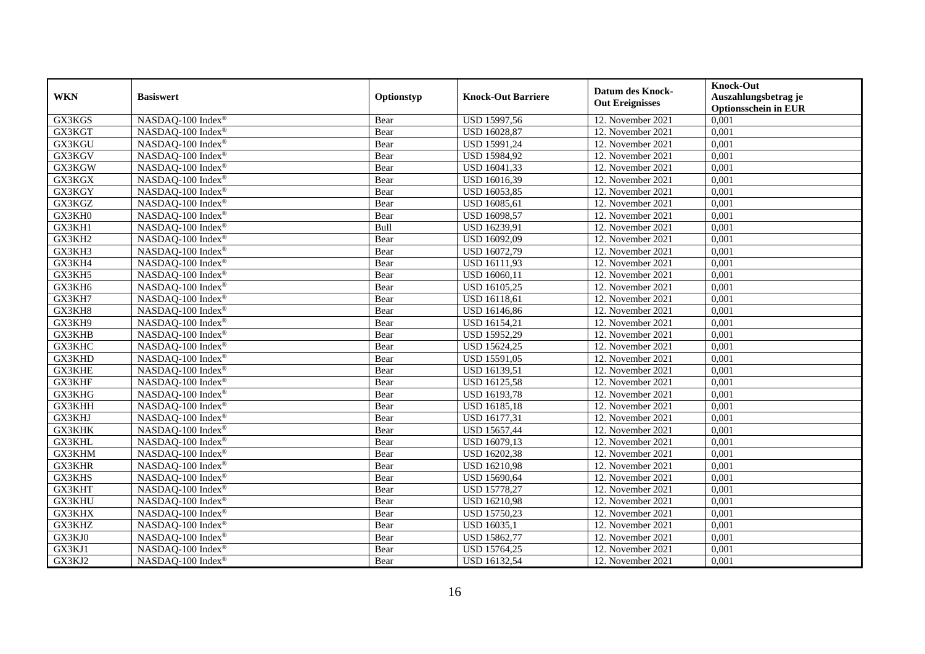| <b>WKN</b> | <b>Basiswert</b>  | Optionstyp | <b>Knock-Out Barriere</b> | <b>Datum des Knock-</b> | <b>Knock-Out</b><br>Auszahlungsbetrag je |
|------------|-------------------|------------|---------------------------|-------------------------|------------------------------------------|
|            |                   |            |                           | <b>Out Ereignisses</b>  | <b>Optionsschein in EUR</b>              |
| GX3KGS     | NASDAQ-100 Index® | Bear       | USD 15997,56              | 12. November 2021       | 0,001                                    |
| GX3KGT     | NASDAQ-100 Index® | Bear       | USD 16028,87              | 12. November 2021       | 0,001                                    |
| GX3KGU     | NASDAQ-100 Index® | Bear       | USD 15991,24              | 12. November 2021       | 0,001                                    |
| GX3KGV     | NASDAQ-100 Index® | Bear       | USD 15984,92              | 12. November 2021       | 0,001                                    |
| GX3KGW     | NASDAQ-100 Index® | Bear       | USD 16041,33              | 12. November 2021       | 0,001                                    |
| GX3KGX     | NASDAQ-100 Index® | Bear       | USD 16016,39              | 12. November 2021       | 0,001                                    |
| GX3KGY     | NASDAQ-100 Index® | Bear       | USD 16053,85              | 12. November 2021       | 0,001                                    |
| GX3KGZ     | NASDAQ-100 Index® | Bear       | USD 16085,61              | 12. November 2021       | 0,001                                    |
| GX3KH0     | NASDAQ-100 Index® | Bear       | USD 16098,57              | 12. November 2021       | 0,001                                    |
| GX3KH1     | NASDAQ-100 Index® | Bull       | USD 16239,91              | 12. November 2021       | 0,001                                    |
| GX3KH2     | NASDAQ-100 Index® | Bear       | USD 16092,09              | 12. November 2021       | 0,001                                    |
| GX3KH3     | NASDAQ-100 Index® | Bear       | USD 16072,79              | 12. November 2021       | 0,001                                    |
| GX3KH4     | NASDAQ-100 Index® | Bear       | USD 16111,93              | 12. November 2021       | 0,001                                    |
| GX3KH5     | NASDAQ-100 Index® | Bear       | USD 16060,11              | 12. November 2021       | 0,001                                    |
| GX3KH6     | NASDAQ-100 Index® | Bear       | USD 16105,25              | 12. November 2021       | 0,001                                    |
| GX3KH7     | NASDAQ-100 Index® | Bear       | <b>USD 16118,61</b>       | 12. November 2021       | 0,001                                    |
| GX3KH8     | NASDAQ-100 Index® | Bear       | USD 16146,86              | 12. November 2021       | 0,001                                    |
| GX3KH9     | NASDAQ-100 Index® | Bear       | USD 16154,21              | 12. November 2021       | 0,001                                    |
| GX3KHB     | NASDAQ-100 Index® | Bear       | USD 15952,29              | 12. November 2021       | 0,001                                    |
| GX3KHC     | NASDAQ-100 Index® | Bear       | USD 15624,25              | 12. November 2021       | 0,001                                    |
| GX3KHD     | NASDAQ-100 Index® | Bear       | USD 15591,05              | 12. November 2021       | 0,001                                    |
| GX3KHE     | NASDAQ-100 Index® | Bear       | USD 16139,51              | 12. November 2021       | 0,001                                    |
| GX3KHF     | NASDAQ-100 Index® | Bear       | <b>USD 16125,58</b>       | 12. November 2021       | 0,001                                    |
| GX3KHG     | NASDAQ-100 Index® | Bear       | <b>USD 16193,78</b>       | 12. November 2021       | 0,001                                    |
| GX3KHH     | NASDAQ-100 Index® | Bear       | USD 16185,18              | 12. November 2021       | 0,001                                    |
| GX3KHJ     | NASDAQ-100 Index® | Bear       | USD 16177,31              | 12. November 2021       | 0,001                                    |
| GX3KHK     | NASDAQ-100 Index® | Bear       | USD 15657,44              | 12. November 2021       | 0,001                                    |
| GX3KHL     | NASDAQ-100 Index® | Bear       | USD 16079,13              | 12. November 2021       | 0,001                                    |
| GX3KHM     | NASDAQ-100 Index® | Bear       | USD 16202,38              | 12. November 2021       | 0,001                                    |
| GX3KHR     | NASDAQ-100 Index® | Bear       | <b>USD 16210,98</b>       | 12. November 2021       | 0,001                                    |
| GX3KHS     | NASDAQ-100 Index® | Bear       | USD 15690,64              | 12. November 2021       | 0,001                                    |
| GX3KHT     | NASDAQ-100 Index® | Bear       | <b>USD 15778,27</b>       | 12. November 2021       | 0,001                                    |
| GX3KHU     | NASDAQ-100 Index® | Bear       | <b>USD 16210,98</b>       | 12. November 2021       | 0,001                                    |
| GX3KHX     | NASDAQ-100 Index® | Bear       | <b>USD 15750,23</b>       | 12. November 2021       | 0,001                                    |
| GX3KHZ     | NASDAQ-100 Index® | Bear       | USD 16035,1               | 12. November 2021       | 0,001                                    |
| GX3KJ0     | NASDAQ-100 Index® | Bear       | USD 15862,77              | 12. November 2021       | 0,001                                    |
| GX3KJ1     | NASDAQ-100 Index® | Bear       | USD 15764,25              | 12. November 2021       | 0,001                                    |
| GX3KJ2     | NASDAQ-100 Index® | Bear       | <b>USD 16132,54</b>       | 12. November 2021       | 0,001                                    |